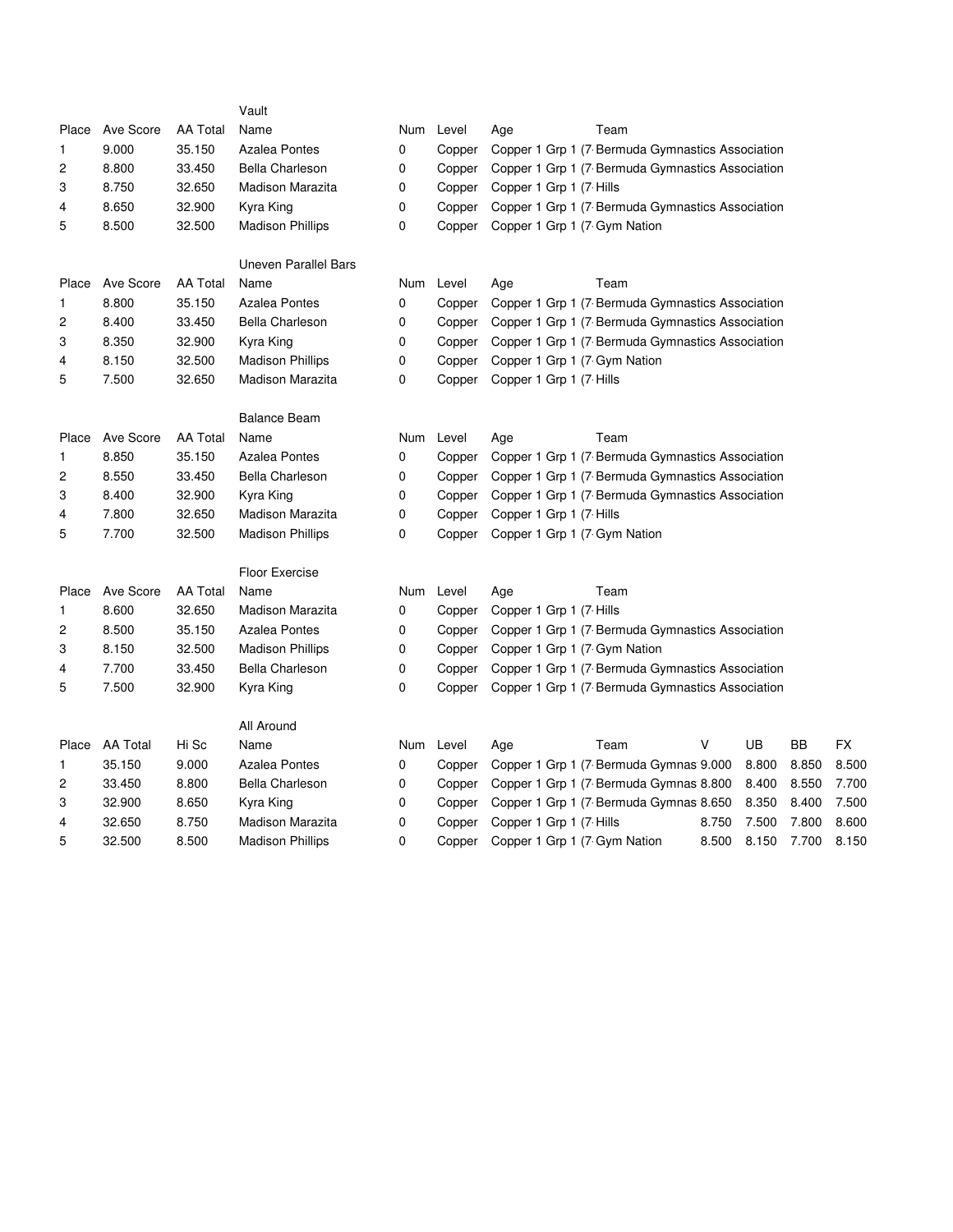|                |                 |                 | Vault                       |     |           |                              |                                                  |       |       |           |       |
|----------------|-----------------|-----------------|-----------------------------|-----|-----------|------------------------------|--------------------------------------------------|-------|-------|-----------|-------|
| Place          | Ave Score       | <b>AA Total</b> | Name                        |     | Num Level | Age                          | Team                                             |       |       |           |       |
| 1              | 9.000           | 35.150          | <b>Azalea Pontes</b>        | 0   | Copper    |                              | Copper 1 Grp 1 (7 Bermuda Gymnastics Association |       |       |           |       |
| 2              | 8.800           | 33.450          | <b>Bella Charleson</b>      | 0   | Copper    |                              | Copper 1 Grp 1 (7 Bermuda Gymnastics Association |       |       |           |       |
| 3              | 8.750           | 32.650          | Madison Marazita            | 0   | Copper    | Copper 1 Grp 1 (7 Hills      |                                                  |       |       |           |       |
| 4              | 8.650           | 32.900          | Kyra King                   | 0   | Copper    |                              | Copper 1 Grp 1 (7 Bermuda Gymnastics Association |       |       |           |       |
| 5              | 8.500           | 32.500          | <b>Madison Phillips</b>     | 0   | Copper    | Copper 1 Grp 1 (7 Gym Nation |                                                  |       |       |           |       |
|                |                 |                 | <b>Uneven Parallel Bars</b> |     |           |                              |                                                  |       |       |           |       |
| Place          | Ave Score       | <b>AA Total</b> | Name                        |     | Num Level | Age                          | Team                                             |       |       |           |       |
| 1              | 8.800           | 35.150          | <b>Azalea Pontes</b>        | 0   | Copper    |                              | Copper 1 Grp 1 (7 Bermuda Gymnastics Association |       |       |           |       |
| $\overline{c}$ | 8.400           | 33.450          | <b>Bella Charleson</b>      | 0   | Copper    |                              | Copper 1 Grp 1 (7 Bermuda Gymnastics Association |       |       |           |       |
| 3              | 8.350           | 32.900          | Kyra King                   | 0   | Copper    |                              | Copper 1 Grp 1 (7 Bermuda Gymnastics Association |       |       |           |       |
| 4              | 8.150           | 32.500          | <b>Madison Phillips</b>     | 0   | Copper    | Copper 1 Grp 1 (7 Gym Nation |                                                  |       |       |           |       |
| 5              | 7.500           | 32.650          | Madison Marazita            | 0   | Copper    | Copper 1 Grp 1 (7 Hills      |                                                  |       |       |           |       |
|                |                 |                 | <b>Balance Beam</b>         |     |           |                              |                                                  |       |       |           |       |
| Place          | Ave Score       | <b>AA Total</b> | Name                        |     | Num Level | Age                          | Team                                             |       |       |           |       |
| 1              | 8.850           | 35.150          | <b>Azalea Pontes</b>        | 0   | Copper    |                              | Copper 1 Grp 1 (7 Bermuda Gymnastics Association |       |       |           |       |
| 2              | 8.550           | 33.450          | <b>Bella Charleson</b>      | 0   | Copper    |                              | Copper 1 Grp 1 (7 Bermuda Gymnastics Association |       |       |           |       |
| 3              | 8.400           | 32.900          | Kyra King                   | 0   | Copper    |                              | Copper 1 Grp 1 (7 Bermuda Gymnastics Association |       |       |           |       |
| 4              | 7.800           | 32.650          | Madison Marazita            | 0   | Copper    | Copper 1 Grp 1 (7 Hills      |                                                  |       |       |           |       |
| 5              | 7.700           | 32.500          | <b>Madison Phillips</b>     | 0   | Copper    | Copper 1 Grp 1 (7 Gym Nation |                                                  |       |       |           |       |
|                |                 |                 | <b>Floor Exercise</b>       |     |           |                              |                                                  |       |       |           |       |
| Place          | Ave Score       | <b>AA Total</b> | Name                        | Num | Level     | Age                          | Team                                             |       |       |           |       |
| 1              | 8.600           | 32.650          | <b>Madison Marazita</b>     | 0   | Copper    | Copper 1 Grp 1 (7 Hills      |                                                  |       |       |           |       |
| 2              | 8.500           | 35.150          | <b>Azalea Pontes</b>        | 0   | Copper    |                              | Copper 1 Grp 1 (7 Bermuda Gymnastics Association |       |       |           |       |
| 3              | 8.150           | 32.500          | <b>Madison Phillips</b>     | 0   | Copper    | Copper 1 Grp 1 (7 Gym Nation |                                                  |       |       |           |       |
| 4              | 7.700           | 33.450          | <b>Bella Charleson</b>      | 0   | Copper    |                              | Copper 1 Grp 1 (7 Bermuda Gymnastics Association |       |       |           |       |
| 5              | 7.500           | 32.900          | Kyra King                   | 0   | Copper    |                              | Copper 1 Grp 1 (7 Bermuda Gymnastics Association |       |       |           |       |
|                |                 |                 | All Around                  |     |           |                              |                                                  |       |       |           |       |
| Place          | <b>AA Total</b> | Hi Sc           | Name                        |     | Num Level | Age                          | Team                                             | v     | UB    | <b>BB</b> | FX    |
| 1              | 35.150          | 9.000           | <b>Azalea Pontes</b>        | 0   | Copper    |                              | Copper 1 Grp 1 (7 Bermuda Gymnas 9.000           |       | 8.800 | 8.850     | 8.500 |
| 2              | 33.450          | 8.800           | <b>Bella Charleson</b>      | 0   | Copper    |                              | Copper 1 Grp 1 (7 Bermuda Gymnas 8.800           |       | 8.400 | 8.550     | 7.700 |
| 3              | 32.900          | 8.650           | Kyra King                   | 0   | Copper    |                              | Copper 1 Grp 1 (7 Bermuda Gymnas 8.650           |       | 8.350 | 8.400     | 7.500 |
| 4              | 32.650          | 8.750           | <b>Madison Marazita</b>     | 0   | Copper    | Copper 1 Grp 1 (7 Hills      |                                                  | 8.750 | 7.500 | 7.800     | 8.600 |
| 5              | 32.500          | 8.500           | <b>Madison Phillips</b>     | 0   | Copper    | Copper 1 Grp 1 (7 Gym Nation |                                                  | 8.500 | 8.150 | 7.700     | 8.150 |
|                |                 |                 |                             |     |           |                              |                                                  |       |       |           |       |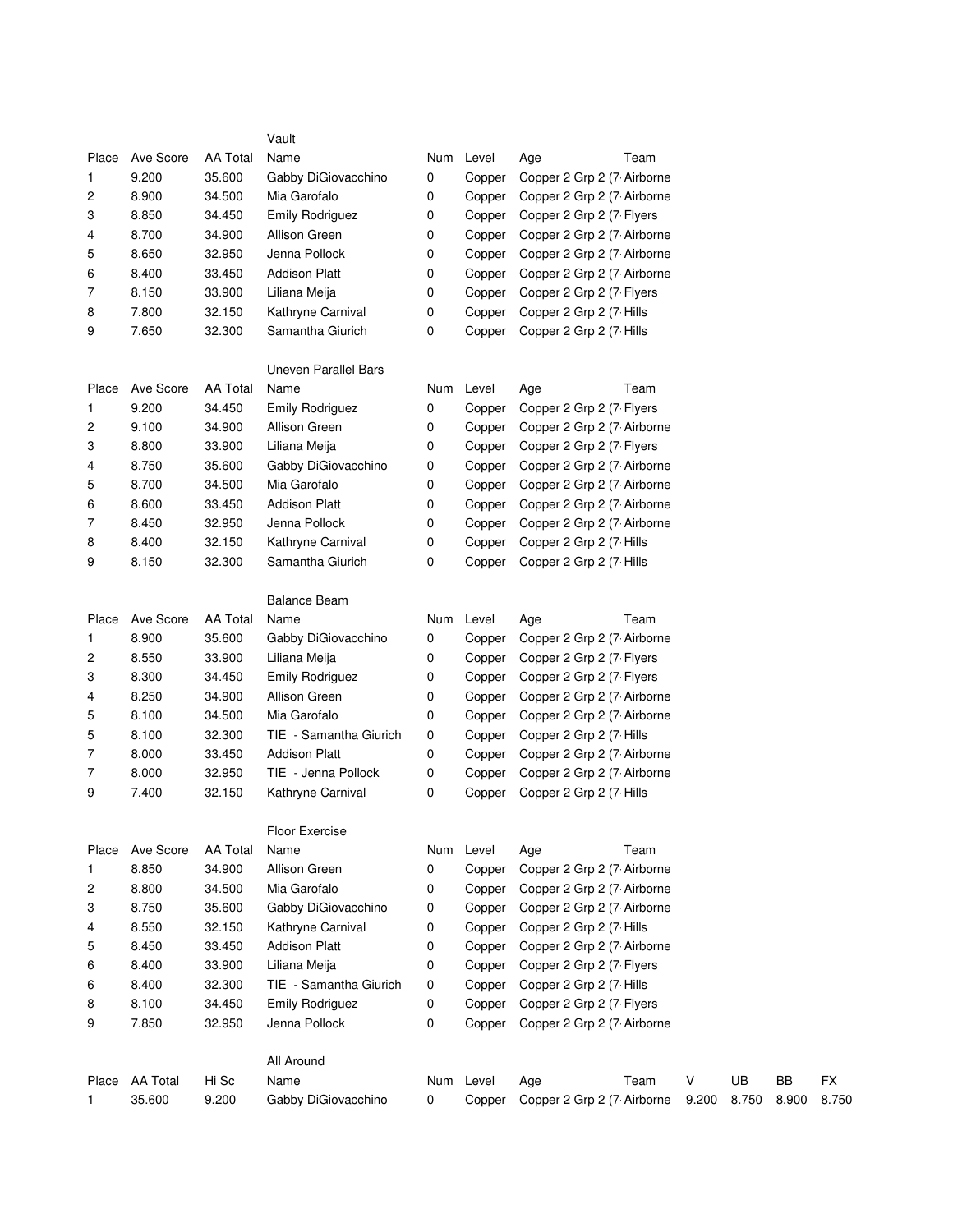|       |                 |                 | Vault                       |     |           |                            |       |       |       |       |
|-------|-----------------|-----------------|-----------------------------|-----|-----------|----------------------------|-------|-------|-------|-------|
| Place | Ave Score       | <b>AA Total</b> | Name                        | Num | Level     | Team<br>Age                |       |       |       |       |
| 1     | 9.200           | 35.600          | Gabby DiGiovacchino         | 0   | Copper    | Copper 2 Grp 2 (7 Airborne |       |       |       |       |
| 2     | 8.900           | 34.500          | Mia Garofalo                | 0   | Copper    | Copper 2 Grp 2 (7 Airborne |       |       |       |       |
| 3     | 8.850           | 34.450          | <b>Emily Rodriguez</b>      | 0   | Copper    | Copper 2 Grp 2 (7 Flyers   |       |       |       |       |
| 4     | 8.700           | 34.900          | Allison Green               | 0   | Copper    | Copper 2 Grp 2 (7 Airborne |       |       |       |       |
| 5     | 8.650           | 32.950          | Jenna Pollock               | 0   | Copper    | Copper 2 Grp 2 (7 Airborne |       |       |       |       |
| 6     | 8.400           | 33.450          | <b>Addison Platt</b>        | 0   | Copper    | Copper 2 Grp 2 (7 Airborne |       |       |       |       |
| 7     | 8.150           | 33.900          | Liliana Meija               | 0   | Copper    | Copper 2 Grp 2 (7 Flyers   |       |       |       |       |
| 8     | 7.800           | 32.150          | Kathryne Carnival           | 0   | Copper    | Copper 2 Grp 2 (7 Hills    |       |       |       |       |
| 9     | 7.650           | 32.300          | Samantha Giurich            | 0   | Copper    | Copper 2 Grp 2 (7 Hills    |       |       |       |       |
|       |                 |                 | <b>Uneven Parallel Bars</b> |     |           |                            |       |       |       |       |
| Place | Ave Score       | <b>AA Total</b> | Name                        |     | Num Level | Team<br>Age                |       |       |       |       |
| 1     | 9.200           | 34.450          | <b>Emily Rodriguez</b>      | 0   | Copper    | Copper 2 Grp 2 (7 Flyers   |       |       |       |       |
| 2     | 9.100           | 34.900          | Allison Green               | 0   | Copper    | Copper 2 Grp 2 (7 Airborne |       |       |       |       |
| 3     | 8.800           | 33.900          | Liliana Meija               | 0   | Copper    | Copper 2 Grp 2 (7 Flyers   |       |       |       |       |
| 4     | 8.750           | 35.600          | Gabby DiGiovacchino         | 0   | Copper    | Copper 2 Grp 2 (7 Airborne |       |       |       |       |
| 5     | 8.700           | 34.500          | Mia Garofalo                | 0   | Copper    | Copper 2 Grp 2 (7 Airborne |       |       |       |       |
| 6     | 8.600           | 33.450          | <b>Addison Platt</b>        | 0   | Copper    | Copper 2 Grp 2 (7 Airborne |       |       |       |       |
| 7     | 8.450           | 32.950          | Jenna Pollock               | 0   | Copper    | Copper 2 Grp 2 (7 Airborne |       |       |       |       |
| 8     | 8.400           | 32.150          | Kathryne Carnival           | 0   | Copper    | Copper 2 Grp 2 (7 Hills    |       |       |       |       |
| 9     | 8.150           | 32.300          | Samantha Giurich            | 0   | Copper    | Copper 2 Grp 2 (7 Hills    |       |       |       |       |
|       |                 |                 | <b>Balance Beam</b>         |     |           |                            |       |       |       |       |
| Place | Ave Score       | AA Total        | Name                        | Num | Level     | Team<br>Age                |       |       |       |       |
| 1     | 8.900           | 35.600          | Gabby DiGiovacchino         | 0   | Copper    | Copper 2 Grp 2 (7 Airborne |       |       |       |       |
| 2     | 8.550           | 33.900          | Liliana Meija               | 0   | Copper    | Copper 2 Grp 2 (7 Flyers   |       |       |       |       |
| 3     | 8.300           | 34.450          | Emily Rodriguez             | 0   | Copper    | Copper 2 Grp 2 (7 Flyers   |       |       |       |       |
| 4     | 8.250           | 34.900          | Allison Green               | 0   | Copper    | Copper 2 Grp 2 (7 Airborne |       |       |       |       |
| 5     | 8.100           | 34.500          | Mia Garofalo                | 0   | Copper    | Copper 2 Grp 2 (7 Airborne |       |       |       |       |
| 5     | 8.100           | 32.300          | TIE - Samantha Giurich      | 0   | Copper    | Copper 2 Grp 2 (7 Hills    |       |       |       |       |
| 7     | 8.000           | 33.450          | <b>Addison Platt</b>        | 0   | Copper    | Copper 2 Grp 2 (7 Airborne |       |       |       |       |
| 7     | 8.000           | 32.950          | TIE - Jenna Pollock         | 0   | Copper    | Copper 2 Grp 2 (7 Airborne |       |       |       |       |
| 9     | 7.400           | 32.150          | Kathryne Carnival           | 0   | Copper    | Copper 2 Grp 2 (7 Hills    |       |       |       |       |
|       |                 |                 | Floor Exercise              |     |           |                            |       |       |       |       |
| Place | Ave Score       | <b>AA Total</b> | Name                        |     | Num Level | Team<br>Age                |       |       |       |       |
| 1     | 8.850           | 34.900          | Allison Green               | 0   | Copper    | Copper 2 Grp 2 (7 Airborne |       |       |       |       |
| 2     | 8.800           | 34.500          | Mia Garofalo                | 0   | Copper    | Copper 2 Grp 2 (7 Airborne |       |       |       |       |
| 3     | 8.750           | 35.600          | Gabby DiGiovacchino         | 0   | Copper    | Copper 2 Grp 2 (7 Airborne |       |       |       |       |
| 4     | 8.550           | 32.150          | Kathryne Carnival           | 0   | Copper    | Copper 2 Grp 2 (7 Hills    |       |       |       |       |
| 5     | 8.450           | 33.450          | <b>Addison Platt</b>        | 0   | Copper    | Copper 2 Grp 2 (7 Airborne |       |       |       |       |
| 6     | 8.400           | 33.900          | Liliana Meija               | 0   | Copper    | Copper 2 Grp 2 (7 Flyers   |       |       |       |       |
| 6     | 8.400           | 32.300          | TIE - Samantha Giurich      | 0   | Copper    | Copper 2 Grp 2 (7 Hills    |       |       |       |       |
| 8     | 8.100           | 34.450          | <b>Emily Rodriguez</b>      | 0   | Copper    | Copper 2 Grp 2 (7 Flyers   |       |       |       |       |
| 9     | 7.850           | 32.950          | Jenna Pollock               | 0   | Copper    | Copper 2 Grp 2 (7 Airborne |       |       |       |       |
|       |                 |                 | All Around                  |     |           |                            |       |       |       |       |
| Place | <b>AA Total</b> | Hi Sc           | Name                        | Num | Level     | Team<br>Age                | V     | UB    | BB    | FX    |
| 1     | 35.600          | 9.200           | Gabby DiGiovacchino         | 0   | Copper    | Copper 2 Grp 2 (7 Airborne | 9.200 | 8.750 | 8.900 | 8.750 |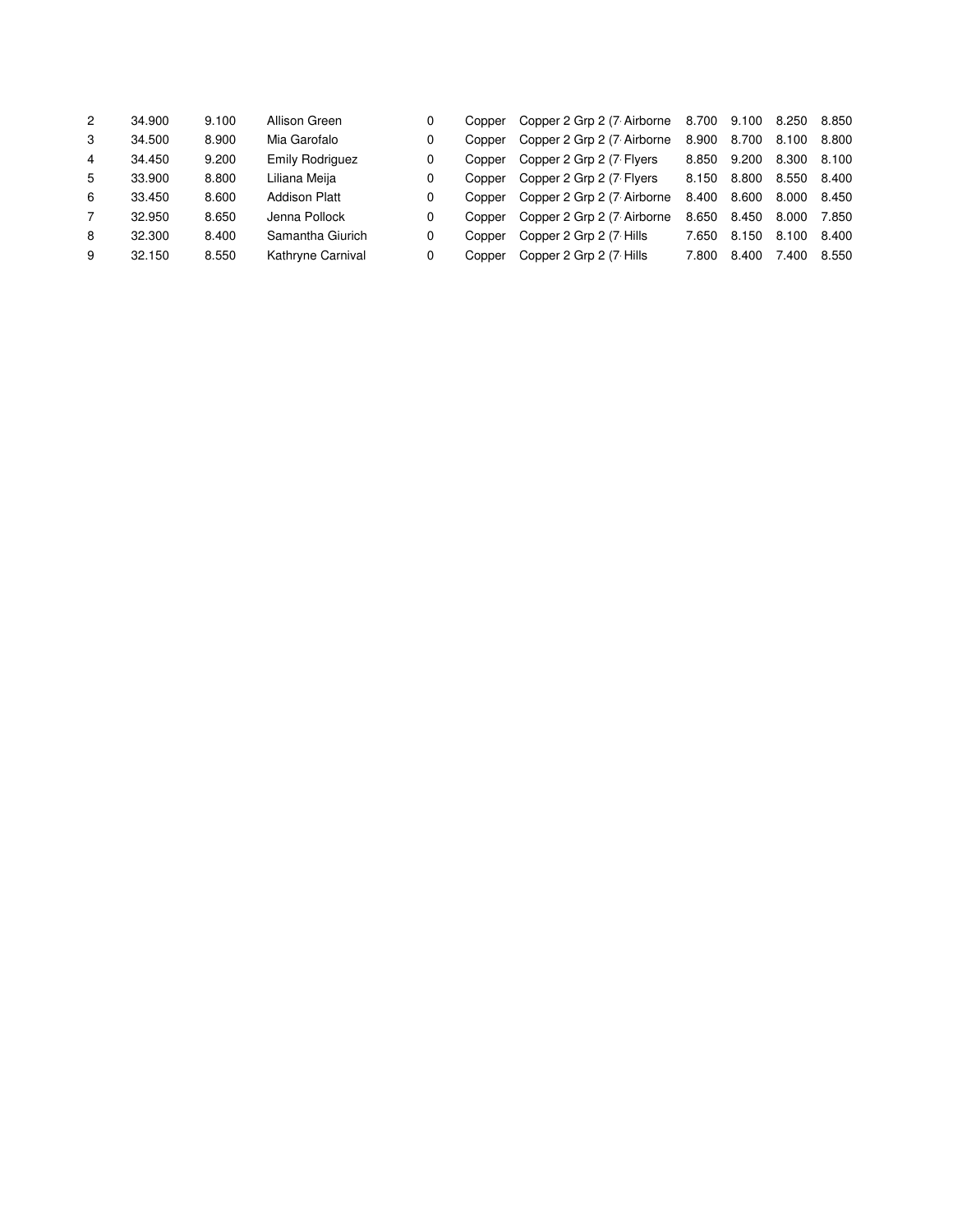| $\overline{2}$ | 34.900 | 9.100 | Allison Green          | 0 | Copper | Copper 2 Grp 2 (7 Airborne | 8.700 9.100 |       | 8.250 | 8.850 |
|----------------|--------|-------|------------------------|---|--------|----------------------------|-------------|-------|-------|-------|
| 3              | 34.500 | 8.900 | Mia Garofalo           | 0 | Copper | Copper 2 Grp 2 (7 Airborne | 8.900       | 8.700 | 8.100 | 8.800 |
| 4              | 34.450 | 9.200 | <b>Emily Rodriguez</b> | 0 | Copper | Copper 2 Grp 2 (7 Flyers   | 8.850       | 9.200 | 8.300 | 8.100 |
| 5              | 33.900 | 8.800 | Liliana Meija          | 0 | Copper | Copper 2 Grp 2 (7 Flyers   | 8.150       | 8.800 | 8.550 | 8.400 |
| 6              | 33.450 | 8.600 | <b>Addison Platt</b>   | 0 | Copper | Copper 2 Grp 2 (7 Airborne | 8.400       | 8.600 | 8.000 | 8.450 |
|                | 32.950 | 8.650 | Jenna Pollock          | 0 | Copper | Copper 2 Grp 2 (7 Airborne | 8.650       | 8.450 | 8.000 | 7.850 |
| 8              | 32.300 | 8.400 | Samantha Giurich       | 0 | Copper | Copper 2 Grp 2 (7 Hills    | 7.650       | 8.150 | 8.100 | 8.400 |
| 9              | 32.150 | 8.550 | Kathryne Carnival      | 0 | Copper | Copper 2 Grp 2 (7 Hills    | 7.800       | 8.400 | 7.400 | 8.550 |
|                |        |       |                        |   |        |                            |             |       |       |       |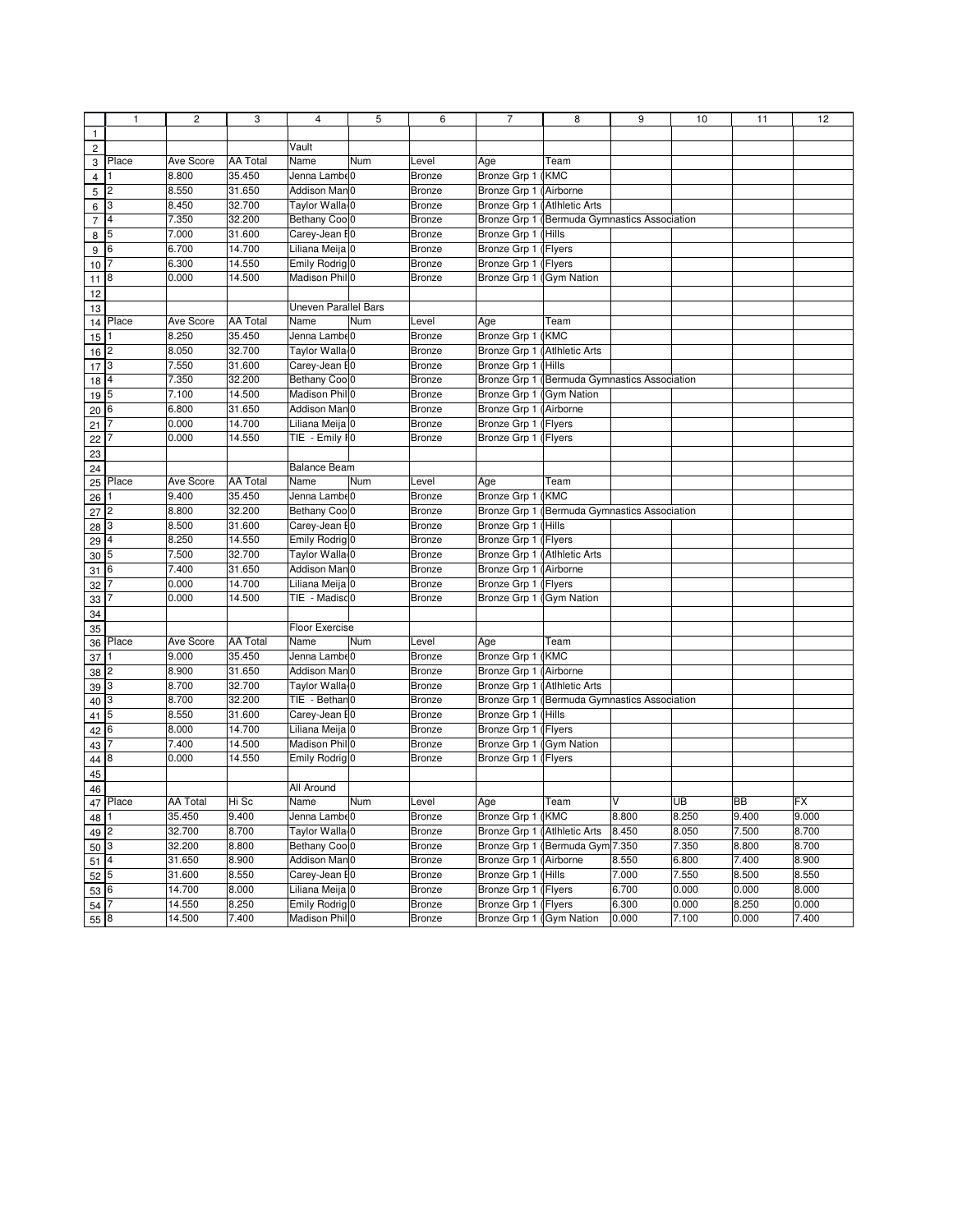|                                | $\mathbf{1}$   | $\overline{c}$  | 3               | $\overline{4}$              | 5   | 6             | $\overline{7}$               | 8                                            | 9     | 10        | 11        | 12    |
|--------------------------------|----------------|-----------------|-----------------|-----------------------------|-----|---------------|------------------------------|----------------------------------------------|-------|-----------|-----------|-------|
| $\mathbf{1}$                   |                |                 |                 |                             |     |               |                              |                                              |       |           |           |       |
|                                |                |                 |                 |                             |     |               |                              |                                              |       |           |           |       |
| $\mathbf 2$                    |                |                 |                 | Vault                       |     |               |                              |                                              |       |           |           |       |
| 3                              | Place          | Ave Score       | <b>AA Total</b> | Name                        | Num | Level         | Age                          | Team                                         |       |           |           |       |
| $\overline{\mathbf{4}}$        |                | 8.800           | 35.450          | Jenna Lambe0                |     | Bronze        | Bronze Grp 1 (KMC            |                                              |       |           |           |       |
| 5                              | 2              | 8.550           | 31.650          | Addison Man 0               |     | Bronze        | Bronze Grp 1 (Airborne       |                                              |       |           |           |       |
| 6                              | 3              | 8.450           | 32.700          | Taylor Walla <sub>(0</sub>  |     | Bronze        | Bronze Grp 1 (Atlhletic Arts |                                              |       |           |           |       |
| $\overline{7}$                 | 4              | 7.350           | 32.200          | Bethany Cool <sub>0</sub>   |     | Bronze        |                              | Bronze Grp 1 (Bermuda Gymnastics Association |       |           |           |       |
| 8                              | 5              | 7.000           | 31.600          | Carey-Jean E0               |     | <b>Bronze</b> | Bronze Grp 1 (Hills          |                                              |       |           |           |       |
| 9                              | 6              | 6.700           | 14.700          | Liliana Meija 0             |     | <b>Bronze</b> | Bronze Grp 1 (Flyers         |                                              |       |           |           |       |
| 10                             |                | 6.300           | 14.550          | Emily Rodrig 0              |     | <b>Bronze</b> | Bronze Grp 1 (Flyers         |                                              |       |           |           |       |
| 11                             | 8              | 0.000           | 14.500          | Madison Phil <sup>0</sup>   |     | Bronze        | Bronze Grp 1 (Gym Nation     |                                              |       |           |           |       |
| 12                             |                |                 |                 |                             |     |               |                              |                                              |       |           |           |       |
| $13$                           |                |                 |                 | <b>Uneven Parallel Bars</b> |     |               |                              |                                              |       |           |           |       |
| 14                             | Place          | Ave Score       | <b>AA Total</b> | Name                        | Num | Level         | Age                          | Team                                         |       |           |           |       |
|                                |                | 8.250           | 35.450          | Jenna Lambe0                |     | <b>Bronze</b> | Bronze Grp 1 (KMC            |                                              |       |           |           |       |
| $15\,$                         |                |                 |                 |                             |     |               |                              |                                              |       |           |           |       |
| $16$ <sup>2</sup>              |                | 8.050           | 32.700          | Taylor Walla <sub>(0</sub>  |     | Bronze        | Bronze Grp 1 (Atlhletic Arts |                                              |       |           |           |       |
| 17                             | 3              | 7.550           | 31.600          | Carey-Jean E0               |     | Bronze        | Bronze Grp 1 (Hills          |                                              |       |           |           |       |
| 18                             | $\overline{4}$ | 7.350           | 32.200          | Bethany Cool <sub>0</sub>   |     | <b>Bronze</b> |                              | Bronze Grp 1 (Bermuda Gymnastics Association |       |           |           |       |
| 19                             | 5              | 7.100           | 14.500          | Madison Phil <sup>0</sup>   |     | <b>Bronze</b> | Bronze Grp 1 (Gym Nation     |                                              |       |           |           |       |
| 20                             | 6              | 6.800           | 31.650          | Addison Man 0               |     | <b>Bronze</b> | Bronze Grp 1 (Airborne       |                                              |       |           |           |       |
| 21                             |                | 0.000           | 14.700          | Liliana Meija 0             |     | Bronze        | Bronze Grp 1 (Flyers         |                                              |       |           |           |       |
| 22                             |                | 0.000           | 14.550          | TIE - Emily FO              |     | <b>Bronze</b> | Bronze Grp 1 (Flyers         |                                              |       |           |           |       |
| 23                             |                |                 |                 |                             |     |               |                              |                                              |       |           |           |       |
| 24                             |                |                 |                 | <b>Balance Beam</b>         |     |               |                              |                                              |       |           |           |       |
| 25                             | Place          | Ave Score       | <b>AA Total</b> | Name                        | Num | Level         | Age                          | Team                                         |       |           |           |       |
| 26                             |                | 9.400           | 35.450          | Jenna Lambe0                |     | Bronze        | Bronze Grp 1 (KMC            |                                              |       |           |           |       |
| $27$ $2$                       |                | 8.800           | 32.200          | Bethany Cool <sub>0</sub>   |     | <b>Bronze</b> |                              | Bronze Grp 1 (Bermuda Gymnastics Association |       |           |           |       |
| 28                             | 3              | 8.500           | 31.600          | Carey-Jean E0               |     | Bronze        | Bronze Grp 1 (Hills          |                                              |       |           |           |       |
| 29                             | $\overline{4}$ | 8.250           | 14.550          | Emily Rodrig 0              |     | <b>Bronze</b> | Bronze Grp 1 (Flyers         |                                              |       |           |           |       |
| 30                             | 5              | 7.500           | 32.700          | Taylor Walla <sub>(0</sub>  |     | Bronze        | Bronze Grp 1 (Atlhletic Arts |                                              |       |           |           |       |
| $31\overline{6}$               |                | 7.400           | 31.650          | Addison Man 0               |     | <b>Bronze</b> | Bronze Grp 1 (Airborne       |                                              |       |           |           |       |
| 32                             |                | 0.000           | 14.700          | Liliana Meija 0             |     | Bronze        | Bronze Grp 1 (Flyers         |                                              |       |           |           |       |
| 33                             |                | 0.000           | 14.500          | TIE - Madisd <sub>0</sub>   |     | Bronze        | Bronze Grp 1 (Gym Nation     |                                              |       |           |           |       |
| 34                             |                |                 |                 |                             |     |               |                              |                                              |       |           |           |       |
| 35                             |                |                 |                 | Floor Exercise              |     |               |                              |                                              |       |           |           |       |
| 36                             | Place          | Ave Score       | <b>AA Total</b> | Name                        | Num | Level         | Age                          | Team                                         |       |           |           |       |
|                                |                | 9.000           | 35.450          | Jenna Lambe0                |     | Bronze        | Bronze Grp 1 (KMC            |                                              |       |           |           |       |
| 37                             | $\overline{2}$ | 8.900           | 31.650          | Addison Man 0               |     | <b>Bronze</b> | Bronze Grp 1 (Airborne       |                                              |       |           |           |       |
| 38                             | 3              | 8.700           | 32.700          | Taylor Walla <sub>(0</sub>  |     | Bronze        | Bronze Grp 1 (Atlhletic Arts |                                              |       |           |           |       |
| 39                             | 3              | 8.700           | 32.200          | TIE - Bethan0               |     | Bronze        |                              |                                              |       |           |           |       |
| $40\,$                         |                |                 |                 |                             |     |               |                              | Bronze Grp 1 (Bermuda Gymnastics Association |       |           |           |       |
| $41\overline{5}$               |                | 8.550           | 31.600          | Carey-Jean E0               |     | Bronze        | Bronze Grp 1 (Hills          |                                              |       |           |           |       |
| 42                             | 6              | 8.000           | 14.700          | Liliana Meija 0             |     | <b>Bronze</b> | Bronze Grp 1 (Flyers         |                                              |       |           |           |       |
| 43                             |                | 7.400           | 14.500          | Madison Phil <sup>0</sup>   |     | <b>Bronze</b> | Bronze Grp 1 (Gym Nation     |                                              |       |           |           |       |
| 44                             | 8              | 0.000           | 14.550          | Emily Rodrig 0              |     | <b>Bronze</b> | Bronze Grp 1 (Flyers         |                                              |       |           |           |       |
| 45                             |                |                 |                 |                             |     |               |                              |                                              |       |           |           |       |
| 46                             |                |                 |                 | All Around                  |     |               |                              |                                              |       |           |           |       |
|                                | 47 Place       | <b>AA Total</b> | Hi Sc           | Name                        | Num | Level         | Age                          | Team                                         | ٧     | <b>UB</b> | <b>BB</b> | FX    |
| 48 1                           |                | 35.450          | 9.400           | Jenna Lambe0                |     | Bronze        | Bronze Grp 1 (KMC            |                                              | 8.800 | 8.250     | 9.400     | 9.000 |
| $49$ $\overline{\smash{)}\,2}$ |                | 32.700          | 8.700           | Taylor Wallar0              |     | Bronze        | Bronze Grp 1 (Atlhletic Arts |                                              | 8.450 | 8.050     | 7.500     | 8.700 |
| 50 <sup>3</sup>                |                | 32.200          | 8.800           | Bethany Cool <sub>0</sub>   |     | Bronze        |                              | Bronze Grp 1 (Bermuda Gym 7.350              |       | 7.350     | 8.800     | 8.700 |
| $51\overline{)4}$              |                | 31.650          | 8.900           | Addison Man 0               |     | Bronze        | Bronze Grp 1 (Airborne       |                                              | 8.550 | 6.800     | 7.400     | 8.900 |
| $52$ 5                         |                | 31.600          | 8.550           | Carey-Jean E0               |     | Bronze        | Bronze Grp 1 (Hills          |                                              | 7.000 | 7.550     | 8.500     | 8.550 |
| 53 6                           |                | 14.700          | 8.000           | Liliana Meija 0             |     | Bronze        | Bronze Grp 1 (Flyers         |                                              | 6.700 | 0.000     | 0.000     | 8.000 |
| $54$ $7$                       |                | 14.550          | 8.250           | Emily Rodrig <sup>0</sup>   |     | Bronze        | Bronze Grp 1 (Flyers         |                                              | 6.300 | 0.000     | 8.250     | 0.000 |
| 558                            |                | 14.500          | 7.400           | Madison Phil <sup>0</sup>   |     | Bronze        | Bronze Grp 1 (Gym Nation     |                                              | 0.000 | 7.100     | 0.000     | 7.400 |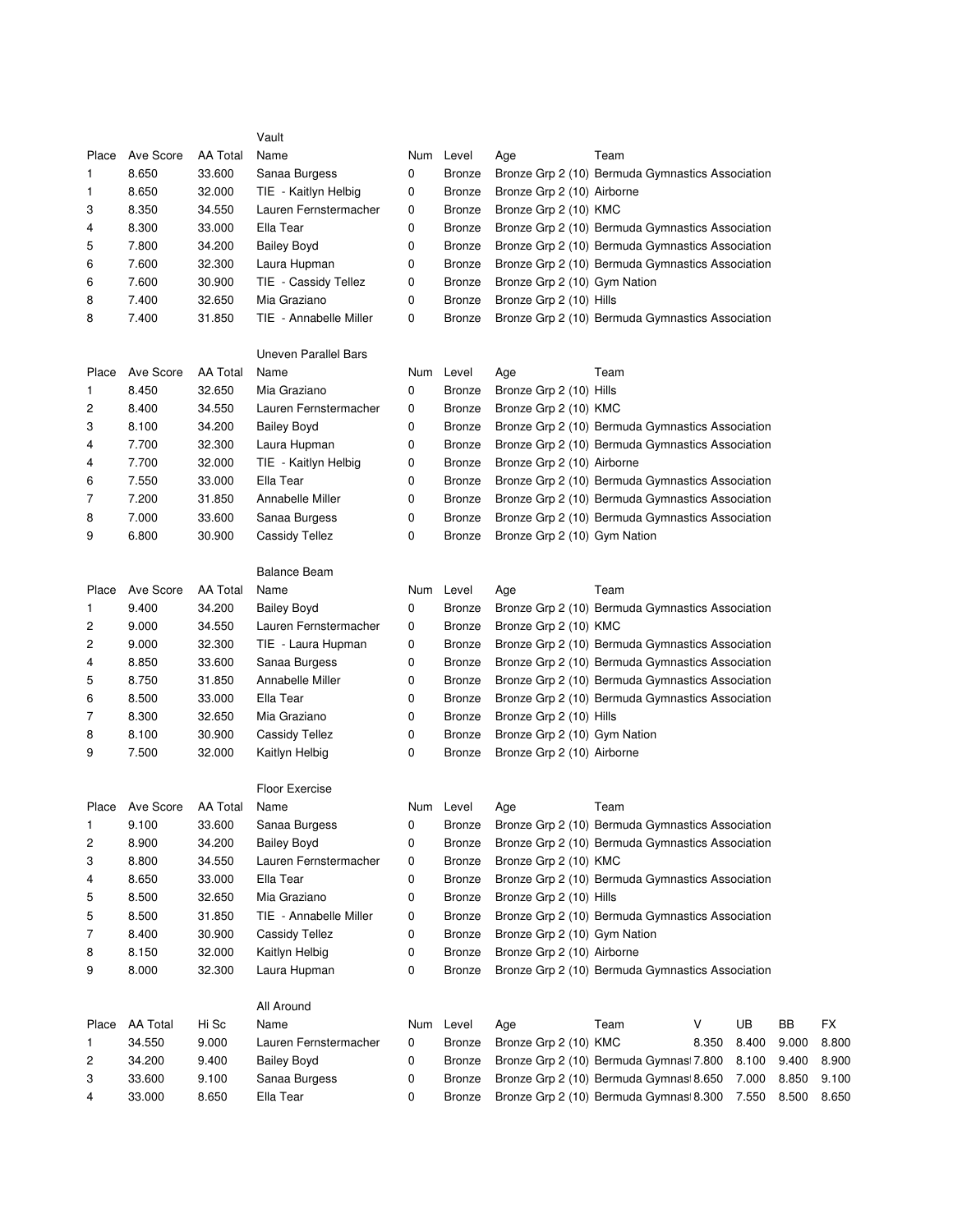|       |                 |                 | Vault                  |   |               |                              |                                                  |       |       |       |       |
|-------|-----------------|-----------------|------------------------|---|---------------|------------------------------|--------------------------------------------------|-------|-------|-------|-------|
| Place | Ave Score       | <b>AA Total</b> | Name                   |   | Num Level     | Age                          | Team                                             |       |       |       |       |
| 1     | 8.650           | 33.600          | Sanaa Burgess          | 0 | <b>Bronze</b> |                              | Bronze Grp 2 (10) Bermuda Gymnastics Association |       |       |       |       |
| 1     | 8.650           | 32.000          | TIE - Kaitlyn Helbig   | 0 | <b>Bronze</b> | Bronze Grp 2 (10) Airborne   |                                                  |       |       |       |       |
| 3     | 8.350           | 34.550          | Lauren Fernstermacher  | 0 | <b>Bronze</b> | Bronze Grp 2 (10) KMC        |                                                  |       |       |       |       |
| 4     | 8.300           | 33.000          | Ella Tear              | 0 | <b>Bronze</b> |                              | Bronze Grp 2 (10) Bermuda Gymnastics Association |       |       |       |       |
| 5     | 7.800           | 34.200          | <b>Bailey Boyd</b>     | 0 | Bronze        |                              | Bronze Grp 2 (10) Bermuda Gymnastics Association |       |       |       |       |
| 6     | 7.600           | 32.300          | Laura Hupman           | 0 | <b>Bronze</b> |                              | Bronze Grp 2 (10) Bermuda Gymnastics Association |       |       |       |       |
| 6     | 7.600           | 30.900          | TIE - Cassidy Tellez   | 0 | <b>Bronze</b> | Bronze Grp 2 (10) Gym Nation |                                                  |       |       |       |       |
| 8     | 7.400           | 32.650          | Mia Graziano           | 0 | <b>Bronze</b> | Bronze Grp 2 (10) Hills      |                                                  |       |       |       |       |
| 8     | 7.400           | 31.850          | TIE - Annabelle Miller | 0 | <b>Bronze</b> |                              | Bronze Grp 2 (10) Bermuda Gymnastics Association |       |       |       |       |
|       |                 |                 | Uneven Parallel Bars   |   |               |                              |                                                  |       |       |       |       |
| Place | Ave Score       | <b>AA Total</b> | Name                   |   | Num Level     | Age                          | Team                                             |       |       |       |       |
| 1     | 8.450           | 32.650          | Mia Graziano           | 0 | <b>Bronze</b> | Bronze Grp 2 (10) Hills      |                                                  |       |       |       |       |
| 2     | 8.400           | 34.550          | Lauren Fernstermacher  | 0 | <b>Bronze</b> | Bronze Grp 2 (10) KMC        |                                                  |       |       |       |       |
| 3     | 8.100           | 34.200          | <b>Bailey Boyd</b>     | 0 | <b>Bronze</b> |                              | Bronze Grp 2 (10) Bermuda Gymnastics Association |       |       |       |       |
| 4     | 7.700           | 32.300          | Laura Hupman           | 0 | <b>Bronze</b> |                              | Bronze Grp 2 (10) Bermuda Gymnastics Association |       |       |       |       |
| 4     | 7.700           | 32.000          | TIE - Kaitlyn Helbig   | 0 | <b>Bronze</b> | Bronze Grp 2 (10) Airborne   |                                                  |       |       |       |       |
| 6     | 7.550           | 33.000          | Ella Tear              | 0 | <b>Bronze</b> |                              | Bronze Grp 2 (10) Bermuda Gymnastics Association |       |       |       |       |
| 7     | 7.200           | 31.850          | Annabelle Miller       | 0 | <b>Bronze</b> |                              | Bronze Grp 2 (10) Bermuda Gymnastics Association |       |       |       |       |
| 8     | 7.000           | 33.600          | Sanaa Burgess          | 0 | <b>Bronze</b> |                              | Bronze Grp 2 (10) Bermuda Gymnastics Association |       |       |       |       |
| 9     | 6.800           | 30.900          | Cassidy Tellez         | 0 | <b>Bronze</b> | Bronze Grp 2 (10) Gym Nation |                                                  |       |       |       |       |
|       |                 |                 | <b>Balance Beam</b>    |   |               |                              |                                                  |       |       |       |       |
| Place | Ave Score       | <b>AA Total</b> | Name                   |   | Num Level     | Age                          | Team                                             |       |       |       |       |
| 1     | 9.400           | 34.200          | <b>Bailey Boyd</b>     | 0 | <b>Bronze</b> |                              | Bronze Grp 2 (10) Bermuda Gymnastics Association |       |       |       |       |
| 2     | 9.000           | 34.550          | Lauren Fernstermacher  | 0 | <b>Bronze</b> | Bronze Grp 2 (10) KMC        |                                                  |       |       |       |       |
| 2     | 9.000           | 32.300          | TIE - Laura Hupman     | 0 | <b>Bronze</b> |                              | Bronze Grp 2 (10) Bermuda Gymnastics Association |       |       |       |       |
| 4     | 8.850           | 33.600          | Sanaa Burgess          | 0 | <b>Bronze</b> |                              | Bronze Grp 2 (10) Bermuda Gymnastics Association |       |       |       |       |
| 5     | 8.750           | 31.850          | Annabelle Miller       | 0 | <b>Bronze</b> |                              | Bronze Grp 2 (10) Bermuda Gymnastics Association |       |       |       |       |
| 6     | 8.500           | 33.000          | Ella Tear              | 0 | <b>Bronze</b> |                              | Bronze Grp 2 (10) Bermuda Gymnastics Association |       |       |       |       |
| 7     | 8.300           | 32.650          | Mia Graziano           | 0 | <b>Bronze</b> | Bronze Grp 2 (10) Hills      |                                                  |       |       |       |       |
| 8     | 8.100           | 30.900          | <b>Cassidy Tellez</b>  | 0 | <b>Bronze</b> | Bronze Grp 2 (10) Gym Nation |                                                  |       |       |       |       |
| 9     | 7.500           | 32.000          | Kaitlyn Helbig         | 0 | <b>Bronze</b> | Bronze Grp 2 (10) Airborne   |                                                  |       |       |       |       |
|       |                 |                 | <b>Floor Exercise</b>  |   |               |                              |                                                  |       |       |       |       |
|       | Place Ave Score | AA Total        | Name                   |   | Num Level     | Age                          | Team                                             |       |       |       |       |
| 1     | 9.100           | 33.600          | Sanaa Burgess          | 0 | Bronze        |                              | Bronze Grp 2 (10) Bermuda Gymnastics Association |       |       |       |       |
| 2     | 8.900           | 34.200          | <b>Bailey Boyd</b>     | 0 | Bronze        |                              | Bronze Grp 2 (10) Bermuda Gymnastics Association |       |       |       |       |
| 3     | 8.800           | 34.550          | Lauren Fernstermacher  | 0 | <b>Bronze</b> | Bronze Grp 2 (10) KMC        |                                                  |       |       |       |       |
| 4     | 8.650           | 33.000          | Ella Tear              | 0 | <b>Bronze</b> |                              | Bronze Grp 2 (10) Bermuda Gymnastics Association |       |       |       |       |
| 5     | 8.500           | 32.650          | Mia Graziano           | 0 | <b>Bronze</b> | Bronze Grp 2 (10) Hills      |                                                  |       |       |       |       |
| 5     | 8.500           | 31.850          | TIE - Annabelle Miller | 0 | <b>Bronze</b> |                              | Bronze Grp 2 (10) Bermuda Gymnastics Association |       |       |       |       |
| 7     | 8.400           | 30.900          | Cassidy Tellez         | 0 | <b>Bronze</b> | Bronze Grp 2 (10) Gym Nation |                                                  |       |       |       |       |
| 8     | 8.150           | 32.000          | Kaitlyn Helbig         | 0 | <b>Bronze</b> | Bronze Grp 2 (10) Airborne   |                                                  |       |       |       |       |
| 9     | 8.000           | 32.300          | Laura Hupman           | 0 | <b>Bronze</b> |                              | Bronze Grp 2 (10) Bermuda Gymnastics Association |       |       |       |       |
|       |                 |                 | All Around             |   |               |                              |                                                  |       |       |       |       |
| Place | <b>AA Total</b> | Hi Sc           | Name                   |   | Num Level     | Age                          | Team                                             | V     | UB    | BB    | FX    |
| 1     | 34.550          | 9.000           | Lauren Fernstermacher  | 0 | <b>Bronze</b> | Bronze Grp 2 (10) KMC        |                                                  | 8.350 | 8.400 | 9.000 | 8.800 |
| 2     | 34.200          | 9.400           | <b>Bailey Boyd</b>     | 0 | <b>Bronze</b> |                              | Bronze Grp 2 (10) Bermuda Gymnas 7.800           |       | 8.100 | 9.400 | 8.900 |
| 3     | 33.600          | 9.100           | Sanaa Burgess          | 0 | <b>Bronze</b> |                              | Bronze Grp 2 (10) Bermuda Gymnasi 8.650          |       | 7.000 | 8.850 | 9.100 |
| 4     | 33.000          | 8.650           | Ella Tear              | 0 | <b>Bronze</b> |                              | Bronze Grp 2 (10) Bermuda Gymnas 8.300           |       | 7.550 | 8.500 | 8.650 |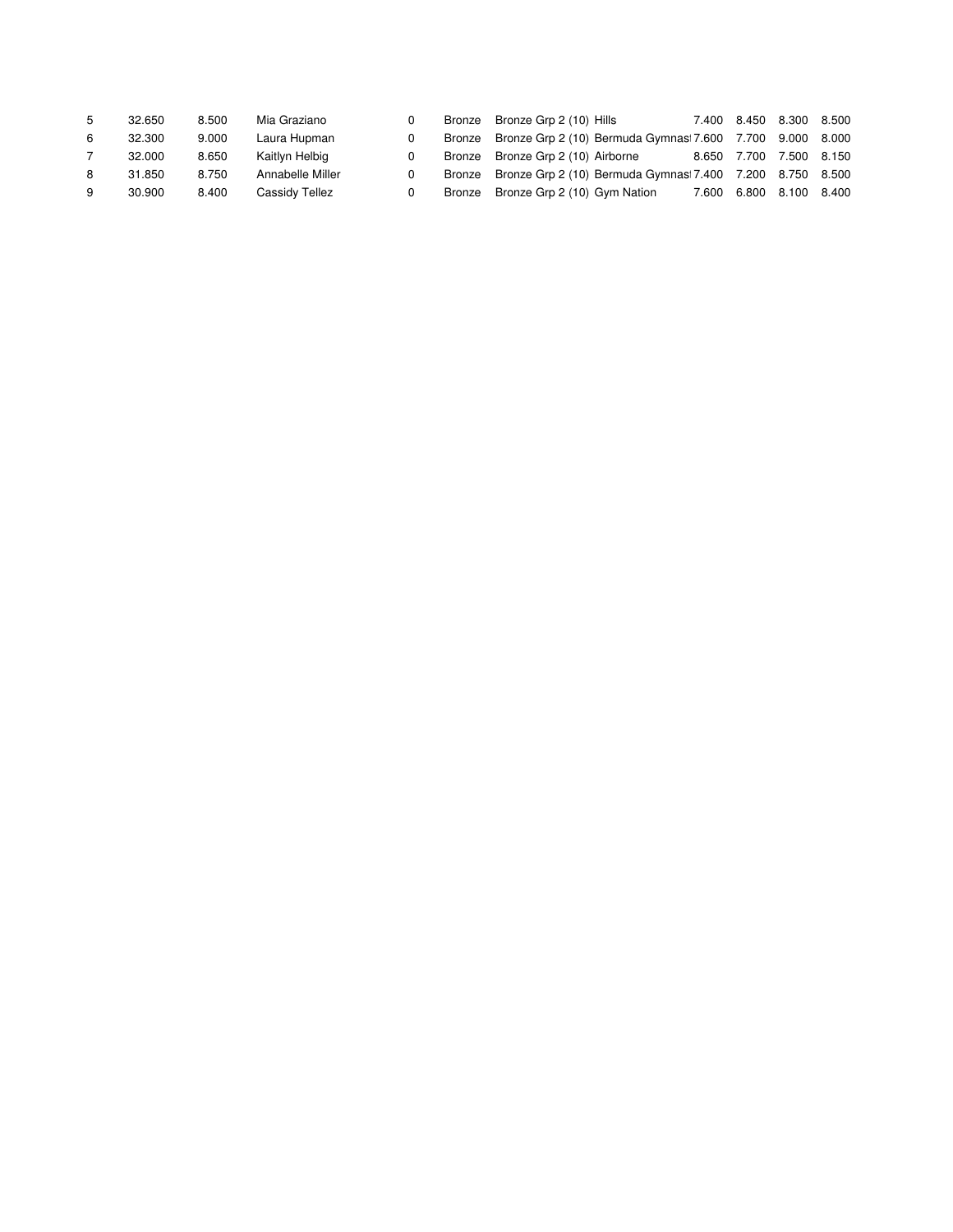| 5 | 32.650 | 8.500 | Mia Graziano     | Bronze | Bronze Grp 2 (10) Hills                                   | 7.400 8.450 8.300 8.500 |  |
|---|--------|-------|------------------|--------|-----------------------------------------------------------|-------------------------|--|
| 6 | 32.300 | 9.000 | Laura Hupman     | Bronze | Bronze Grp 2 (10) Bermuda Gymnasi 7.600 7.700 9.000 8.000 |                         |  |
|   | 32.000 | 8.650 | Kaitlyn Helbig   | Bronze | Bronze Grp 2 (10) Airborne                                | 8.650 7.700 7.500 8.150 |  |
| 8 | 31.850 | 8.750 | Annabelle Miller | Bronze | Bronze Grp 2 (10) Bermuda Gymnasi 7.400 7.200 8.750 8.500 |                         |  |
| 9 | 30.900 | 8.400 | Cassidy Tellez   | Bronze | Bronze Grp 2 (10) Gym Nation                              | 7.600 6.800 8.100 8.400 |  |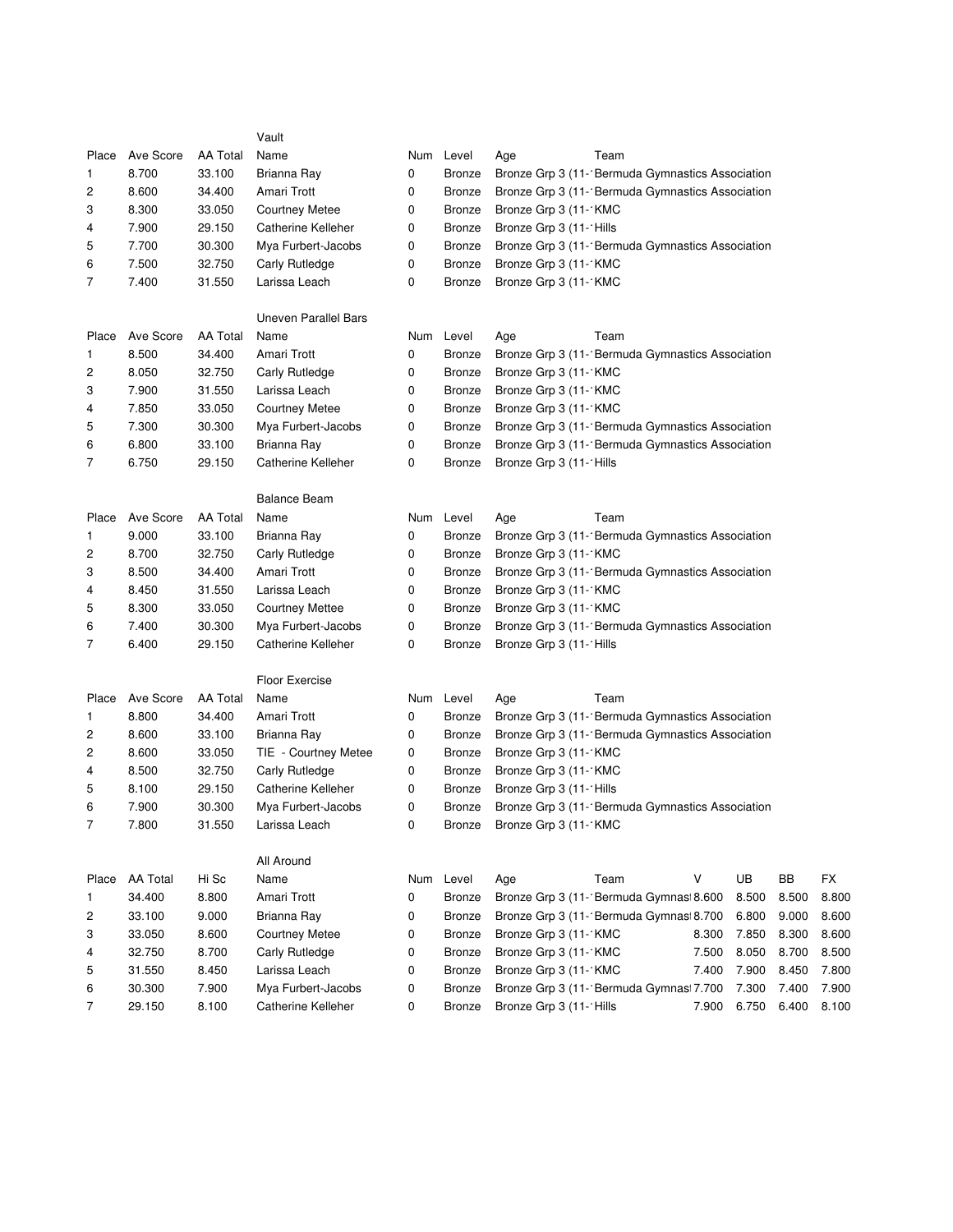|                |           |                 | Vault                       |   |               |                                                                    |
|----------------|-----------|-----------------|-----------------------------|---|---------------|--------------------------------------------------------------------|
| Place          | Ave Score | AA Total        | Name                        |   | Num Level     | Team<br>Age                                                        |
| 1              | 8.700     | 33.100          | Brianna Ray                 | 0 | <b>Bronze</b> | Bronze Grp 3 (11- Bermuda Gymnastics Association                   |
| 2              | 8.600     | 34.400          | Amari Trott                 | 0 | Bronze        | Bronze Grp 3 (11- Bermuda Gymnastics Association                   |
| 3              | 8.300     | 33.050          | <b>Courtney Metee</b>       | 0 | <b>Bronze</b> | Bronze Grp 3 (11- KMC                                              |
| 4              | 7.900     | 29.150          | Catherine Kelleher          | 0 | <b>Bronze</b> | Bronze Grp 3 (11- Hills                                            |
| 5              | 7.700     | 30.300          | Mya Furbert-Jacobs          | 0 | <b>Bronze</b> | Bronze Grp 3 (11 - Bermuda Gymnastics Association                  |
| 6              | 7.500     | 32.750          | Carly Rutledge              | 0 | Bronze        | Bronze Grp 3 (11- KMC                                              |
| 7              | 7.400     | 31.550          | Larissa Leach               | 0 | <b>Bronze</b> | Bronze Grp 3 (11- KMC                                              |
|                |           |                 | <b>Uneven Parallel Bars</b> |   |               |                                                                    |
| Place          | Ave Score | AA Total        | Name                        |   | Num Level     | Team<br>Age                                                        |
| 1              | 8.500     | 34.400          | Amari Trott                 | 0 | <b>Bronze</b> | Bronze Grp 3 (11- Bermuda Gymnastics Association                   |
| $\overline{c}$ | 8.050     | 32.750          | Carly Rutledge              | 0 | Bronze        | Bronze Grp 3 (11- KMC                                              |
| 3              | 7.900     | 31.550          | Larissa Leach               | 0 | <b>Bronze</b> | Bronze Grp 3 (11- KMC                                              |
| 4              | 7.850     | 33.050          | <b>Courtney Metee</b>       | 0 | <b>Bronze</b> | Bronze Grp 3 (11- KMC                                              |
| 5              | 7.300     | 30.300          | Mya Furbert-Jacobs          | 0 | <b>Bronze</b> | Bronze Grp 3 (11 - Bermuda Gymnastics Association                  |
| 6              | 6.800     | 33.100          | Brianna Ray                 | 0 | <b>Bronze</b> | Bronze Grp 3 (11 - Bermuda Gymnastics Association                  |
| 7              | 6.750     | 29.150          | <b>Catherine Kelleher</b>   | 0 | Bronze        | Bronze Grp 3 (11- Hills                                            |
|                |           |                 | <b>Balance Beam</b>         |   |               |                                                                    |
| Place          | Ave Score | <b>AA Total</b> | Name                        |   | Num Level     | Team<br>Age                                                        |
| 1              | 9.000     | 33.100          | Brianna Ray                 | 0 | <b>Bronze</b> | Bronze Grp 3 (11- Bermuda Gymnastics Association                   |
| 2              | 8.700     | 32.750          | Carly Rutledge              | 0 | <b>Bronze</b> | Bronze Grp 3 (11- KMC                                              |
| 3              | 8.500     | 34.400          | Amari Trott                 | 0 | <b>Bronze</b> | Bronze Grp 3 (11 - Bermuda Gymnastics Association                  |
| 4              | 8.450     | 31.550          | Larissa Leach               | 0 | <b>Bronze</b> | Bronze Grp 3 (11 - KMC                                             |
| 5              | 8.300     | 33.050          | <b>Courtney Mettee</b>      | 0 | <b>Bronze</b> | Bronze Grp 3 (11- KMC                                              |
| 6              | 7.400     | 30.300          | Mya Furbert-Jacobs          | 0 | <b>Bronze</b> | Bronze Grp 3 (11- Bermuda Gymnastics Association                   |
| 7              | 6.400     | 29.150          | <b>Catherine Kelleher</b>   | 0 | <b>Bronze</b> | Bronze Grp 3 (11- Hills                                            |
|                |           |                 | <b>Floor Exercise</b>       |   |               |                                                                    |
| Place          | Ave Score | AA Total        | Name                        |   | Num Level     | Team<br>Age                                                        |
| 1              | 8.800     | 34.400          | Amari Trott                 | 0 | <b>Bronze</b> | Bronze Grp 3 (11- Bermuda Gymnastics Association                   |
| $\overline{c}$ | 8.600     | 33.100          | Brianna Ray                 | 0 | <b>Bronze</b> | Bronze Grp 3 (11 - Bermuda Gymnastics Association                  |
| 2              | 8.600     | 33.050          | TIE - Courtney Metee        | 0 | <b>Bronze</b> | Bronze Grp 3 (11- KMC                                              |
| 4              | 8.500     | 32.750          | Carly Rutledge              | 0 | <b>Bronze</b> | Bronze Grp 3 (11- KMC                                              |
| 5              | 8.100     | 29.150          | <b>Catherine Kelleher</b>   | 0 | Bronze        | Bronze Grp 3 (11- Hills                                            |
| 6              | 7.900     | 30.300          | Mya Furbert-Jacobs          | 0 | Bronze        | Bronze Grp 3 (11- Bermuda Gymnastics Association                   |
| 7              | 7.800     | 31.550          | Larissa Leach               | 0 |               | Bronze Bronze Grp 3 (11- KMC                                       |
|                |           |                 | All Around                  |   |               |                                                                    |
| Place          | AA Total  | Hi Sc           | Name                        |   | Num Level     | UB<br>Team<br>V<br>BB<br><b>FX</b><br>Age                          |
| 1              | 34.400    | 8.800           | Amari Trott                 | 0 | <b>Bronze</b> | Bronze Grp 3 (11- Bermuda Gymnasi 8.600<br>8.500<br>8.800<br>8.500 |
| 2              | 33.100    | 9.000           | Brianna Ray                 | 0 | <b>Bronze</b> | Bronze Grp 3 (11- Bermuda Gymnas 8.700<br>6.800<br>9.000<br>8.600  |
| 3              | 33.050    | 8.600           | <b>Courtney Metee</b>       | 0 | <b>Bronze</b> | 8.600<br>Bronze Grp 3 (11- KMC<br>8.300<br>7.850<br>8.300          |
| 4              | 32.750    | 8.700           | Carly Rutledge              | 0 | <b>Bronze</b> | Bronze Grp 3 (11- KMC<br>8.050<br>8.500<br>7.500<br>8.700          |
| 5              | 31.550    | 8.450           | Larissa Leach               | 0 | <b>Bronze</b> | Bronze Grp 3 (11- KMC<br>7.900<br>8.450<br>7.800<br>7.400          |
| 6              | 30.300    | 7.900           | Mya Furbert-Jacobs          | 0 | <b>Bronze</b> | Bronze Grp 3 (11- Bermuda Gymnasi 7.700<br>7.300<br>7.400<br>7.900 |
| 7              | 29.150    | 8.100           | Catherine Kelleher          | 0 | Bronze        | 6.750<br>Bronze Grp 3 (11- Hills<br>6.400<br>8.100<br>7.900        |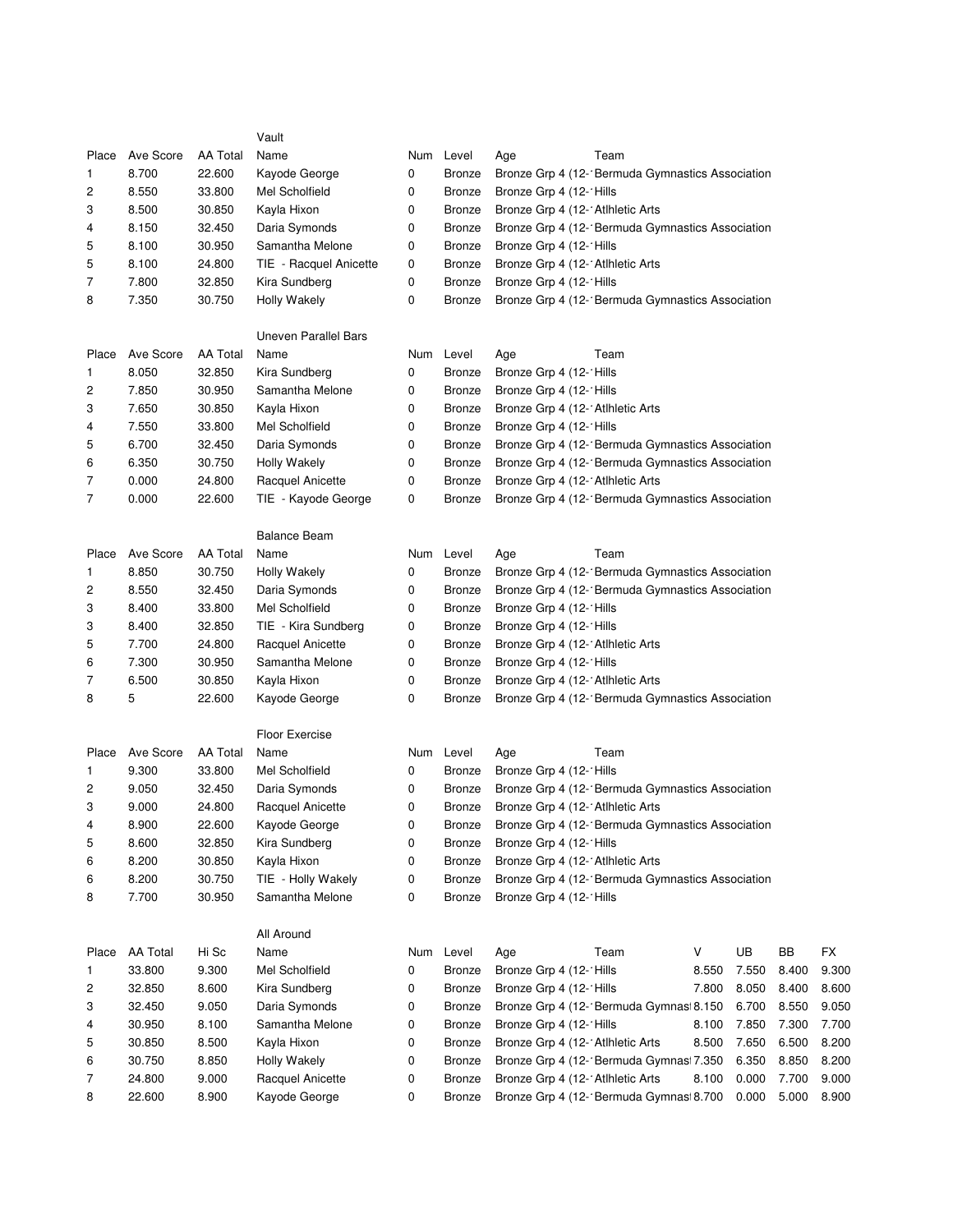|       |           |          | Vault                       |   |               |                                                         |                                                  |       |       |       |       |
|-------|-----------|----------|-----------------------------|---|---------------|---------------------------------------------------------|--------------------------------------------------|-------|-------|-------|-------|
| Place | Ave Score | AA Total | Name                        |   | Num Level     | Age                                                     | Team                                             |       |       |       |       |
| 1     | 8.700     | 22.600   | Kayode George               | 0 | <b>Bronze</b> |                                                         | Bronze Grp 4 (12- Bermuda Gymnastics Association |       |       |       |       |
| 2     | 8.550     | 33.800   | Mel Scholfield              | 0 | Bronze        | Bronze Grp 4 (12- Hills                                 |                                                  |       |       |       |       |
| 3     | 8.500     | 30.850   | Kayla Hixon                 | 0 | <b>Bronze</b> | Bronze Grp 4 (12- Atlhletic Arts                        |                                                  |       |       |       |       |
| 4     | 8.150     | 32.450   | Daria Symonds               | 0 | <b>Bronze</b> |                                                         | Bronze Grp 4 (12- Bermuda Gymnastics Association |       |       |       |       |
| 5     | 8.100     | 30.950   | Samantha Melone             | 0 | <b>Bronze</b> | Bronze Grp 4 (12- Hills                                 |                                                  |       |       |       |       |
| 5     | 8.100     | 24.800   | TIE - Racquel Anicette      | 0 | <b>Bronze</b> | Bronze Grp 4 (12- Atlhletic Arts                        |                                                  |       |       |       |       |
| 7     | 7.800     | 32.850   | Kira Sundberg               | 0 | <b>Bronze</b> | Bronze Grp 4 (12- Hills                                 |                                                  |       |       |       |       |
| 8     | 7.350     | 30.750   | Holly Wakely                | 0 | <b>Bronze</b> |                                                         | Bronze Grp 4 (12- Bermuda Gymnastics Association |       |       |       |       |
|       |           |          |                             |   |               |                                                         |                                                  |       |       |       |       |
|       |           |          | <b>Uneven Parallel Bars</b> |   |               |                                                         |                                                  |       |       |       |       |
| Place | Ave Score | AA Total | Name                        |   | Num Level     | Age                                                     | Team                                             |       |       |       |       |
| 1     | 8.050     | 32.850   | Kira Sundberg               | 0 | Bronze        | Bronze Grp 4 (12- Hills                                 |                                                  |       |       |       |       |
| 2     | 7.850     | 30.950   | Samantha Melone             | 0 | <b>Bronze</b> | Bronze Grp 4 (12- Hills                                 |                                                  |       |       |       |       |
| 3     | 7.650     | 30.850   | Kayla Hixon                 | 0 | <b>Bronze</b> | Bronze Grp 4 (12- Atlhletic Arts                        |                                                  |       |       |       |       |
| 4     | 7.550     | 33.800   | Mel Scholfield              | 0 | Bronze        | Bronze Grp 4 (12- Hills                                 |                                                  |       |       |       |       |
| 5     | 6.700     | 32.450   | Daria Symonds               | 0 | <b>Bronze</b> |                                                         | Bronze Grp 4 (12- Bermuda Gymnastics Association |       |       |       |       |
| 6     | 6.350     | 30.750   | <b>Holly Wakely</b>         | 0 | <b>Bronze</b> |                                                         | Bronze Grp 4 (12- Bermuda Gymnastics Association |       |       |       |       |
| 7     | 0.000     | 24.800   | Racquel Anicette            | 0 | <b>Bronze</b> | Bronze Grp 4 (12- Atlhletic Arts                        |                                                  |       |       |       |       |
| 7     | 0.000     | 22.600   | TIE - Kayode George         | 0 | Bronze        |                                                         | Bronze Grp 4 (12- Bermuda Gymnastics Association |       |       |       |       |
|       |           |          |                             |   |               |                                                         |                                                  |       |       |       |       |
|       |           |          | <b>Balance Beam</b>         |   |               |                                                         |                                                  |       |       |       |       |
| Place | Ave Score | AA Total | Name                        |   | Num Level     | Age                                                     | Team                                             |       |       |       |       |
| 1     | 8.850     | 30.750   | Holly Wakely                | 0 | <b>Bronze</b> |                                                         | Bronze Grp 4 (12- Bermuda Gymnastics Association |       |       |       |       |
| 2     | 8.550     | 32.450   | Daria Symonds               | 0 | <b>Bronze</b> |                                                         | Bronze Grp 4 (12- Bermuda Gymnastics Association |       |       |       |       |
| 3     | 8.400     | 33.800   | Mel Scholfield              | 0 | <b>Bronze</b> | Bronze Grp 4 (12- Hills                                 |                                                  |       |       |       |       |
| 3     | 8.400     | 32.850   | TIE - Kira Sundberg         | 0 | <b>Bronze</b> | Bronze Grp 4 (12- Hills                                 |                                                  |       |       |       |       |
| 5     | 7.700     | 24.800   | Racquel Anicette            | 0 | <b>Bronze</b> | Bronze Grp 4 (12- Atlhletic Arts                        |                                                  |       |       |       |       |
| 6     | 7.300     | 30.950   | Samantha Melone             | 0 | <b>Bronze</b> | Bronze Grp 4 (12- Hills                                 |                                                  |       |       |       |       |
| 7     | 6.500     | 30.850   | Kayla Hixon                 | 0 | <b>Bronze</b> | Bronze Grp 4 (12- Atlhletic Arts                        |                                                  |       |       |       |       |
| 8     | 5         | 22.600   | Kayode George               | 0 | <b>Bronze</b> |                                                         | Bronze Grp 4 (12- Bermuda Gymnastics Association |       |       |       |       |
|       |           |          |                             |   |               |                                                         |                                                  |       |       |       |       |
|       |           |          | Floor Exercise              |   |               |                                                         |                                                  |       |       |       |       |
| Place | Ave Score | AA Total | Name                        |   | Num Level     | Age                                                     | Team                                             |       |       |       |       |
| 1     | 9.300     | 33.800   | Mel Scholfield              | 0 | Bronze        | Bronze Grp 4 (12- Hills                                 |                                                  |       |       |       |       |
| 2     | 9.050     | 32.450   | Daria Symonds               | 0 | <b>Bronze</b> |                                                         | Bronze Grp 4 (12- Bermuda Gymnastics Association |       |       |       |       |
| 3     | 9.000     | 24.800   | Racquel Anicette            | 0 | Bronze        | Bronze Grp 4 (12- Atlhletic Arts                        |                                                  |       |       |       |       |
| 4     | 8.900     | 22.600   | Kayode George               | 0 |               | Bronze Bronze Grp 4 (12- Bermuda Gymnastics Association |                                                  |       |       |       |       |
| 5     | 8.600     | 32.850   | Kira Sundberg               | 0 | Bronze        | Bronze Grp 4 (12- Hills                                 |                                                  |       |       |       |       |
| 6     | 8.200     | 30.850   | Kayla Hixon                 | 0 | <b>Bronze</b> | Bronze Grp 4 (12- Atlhletic Arts                        |                                                  |       |       |       |       |
| 6     | 8.200     | 30.750   | TIE - Holly Wakely          | 0 | <b>Bronze</b> |                                                         | Bronze Grp 4 (12- Bermuda Gymnastics Association |       |       |       |       |
| 8     | 7.700     | 30.950   | Samantha Melone             | 0 | <b>Bronze</b> | Bronze Grp 4 (12- Hills                                 |                                                  |       |       |       |       |
|       |           |          |                             |   |               |                                                         |                                                  |       |       |       |       |
|       |           |          | All Around                  |   |               |                                                         |                                                  |       |       |       |       |
| Place | AA Total  | Hi Sc    | Name                        |   | Num Level     | Age                                                     | Team                                             | V     | UB    | BB    | FX    |
| 1     | 33.800    | 9.300    | Mel Scholfield              | 0 | Bronze        | Bronze Grp 4 (12- Hills                                 |                                                  | 8.550 | 7.550 | 8.400 | 9.300 |
| 2     | 32.850    | 8.600    | Kira Sundberg               | 0 | <b>Bronze</b> | Bronze Grp 4 (12- Hills                                 |                                                  | 7.800 | 8.050 | 8.400 | 8.600 |
| 3     | 32.450    | 9.050    | Daria Symonds               | 0 | <b>Bronze</b> |                                                         | Bronze Grp 4 (12- Bermuda Gymnas 8.150           |       | 6.700 | 8.550 | 9.050 |
| 4     | 30.950    | 8.100    | Samantha Melone             | 0 | <b>Bronze</b> | Bronze Grp 4 (12- Hills                                 |                                                  | 8.100 | 7.850 | 7.300 | 7.700 |
| 5     | 30.850    | 8.500    | Kayla Hixon                 | 0 | <b>Bronze</b> | Bronze Grp 4 (12- Atlhletic Arts                        |                                                  | 8.500 | 7.650 | 6.500 | 8.200 |
| 6     | 30.750    | 8.850    | Holly Wakely                | 0 | <b>Bronze</b> |                                                         | Bronze Grp 4 (12- Bermuda Gymnas 7.350           |       | 6.350 | 8.850 | 8.200 |
| 7     | 24.800    | 9.000    | Racquel Anicette            | 0 | <b>Bronze</b> | Bronze Grp 4 (12- Atlhletic Arts                        |                                                  | 8.100 | 0.000 | 7.700 | 9.000 |
| 8     | 22.600    | 8.900    | Kayode George               | 0 | Bronze        |                                                         | Bronze Grp 4 (12- Bermuda Gymnas 8.700           |       | 0.000 | 5.000 | 8.900 |
|       |           |          |                             |   |               |                                                         |                                                  |       |       |       |       |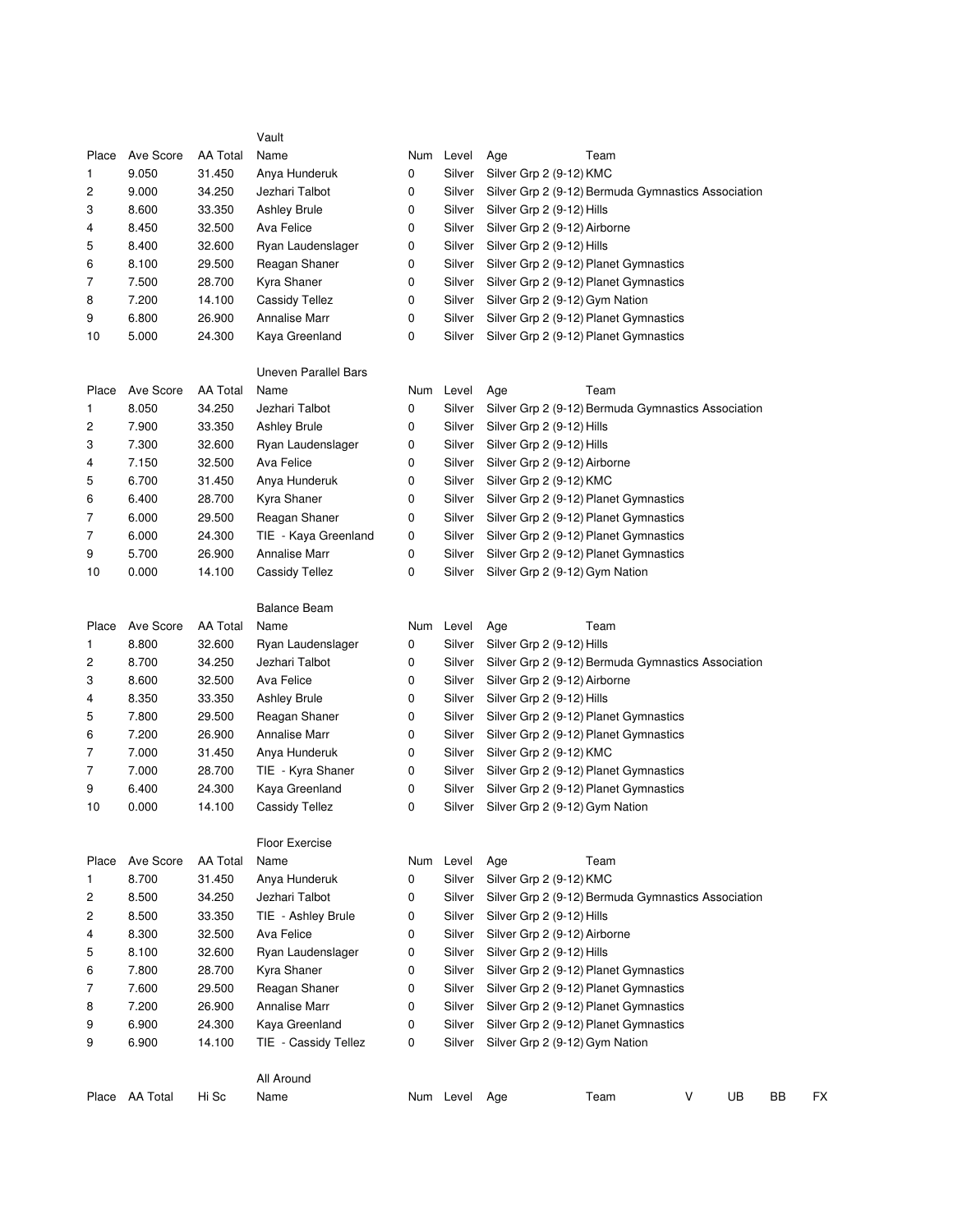|       |                 |                 | Vault                 |        |           |                                |                                                    |   |    |           |    |
|-------|-----------------|-----------------|-----------------------|--------|-----------|--------------------------------|----------------------------------------------------|---|----|-----------|----|
| Place | Ave Score       | <b>AA Total</b> | Name                  |        | Num Level | Age                            | Team                                               |   |    |           |    |
| 1     | 9.050           | 31.450          | Anya Hunderuk         | 0      | Silver    | Silver Grp 2 (9-12) KMC        |                                                    |   |    |           |    |
| 2     | 9.000           | 34.250          | Jezhari Talbot        | 0      | Silver    |                                | Silver Grp 2 (9-12) Bermuda Gymnastics Association |   |    |           |    |
| 3     | 8.600           | 33.350          | <b>Ashley Brule</b>   | 0      | Silver    | Silver Grp 2 (9-12) Hills      |                                                    |   |    |           |    |
| 4     | 8.450           | 32.500          | Ava Felice            | 0      | Silver    | Silver Grp 2 (9-12) Airborne   |                                                    |   |    |           |    |
| 5     | 8.400           | 32.600          | Ryan Laudenslager     | 0      | Silver    | Silver Grp 2 (9-12) Hills      |                                                    |   |    |           |    |
| 6     | 8.100           | 29.500          | Reagan Shaner         | 0      | Silver    |                                | Silver Grp 2 (9-12) Planet Gymnastics              |   |    |           |    |
| 7     | 7.500           | 28.700          | Kyra Shaner           | 0      | Silver    |                                | Silver Grp 2 (9-12) Planet Gymnastics              |   |    |           |    |
| 8     | 7.200           | 14.100          | <b>Cassidy Tellez</b> | 0      | Silver    | Silver Grp 2 (9-12) Gym Nation |                                                    |   |    |           |    |
| 9     | 6.800           | 26.900          | <b>Annalise Marr</b>  | 0      | Silver    |                                | Silver Grp 2 (9-12) Planet Gymnastics              |   |    |           |    |
| 10    | 5.000           | 24.300          | Kaya Greenland        | 0      | Silver    |                                | Silver Grp 2 (9-12) Planet Gymnastics              |   |    |           |    |
|       |                 |                 | Uneven Parallel Bars  |        |           |                                |                                                    |   |    |           |    |
| Place | Ave Score       | <b>AA Total</b> | Name                  |        | Num Level | Age                            | Team                                               |   |    |           |    |
| 1     | 8.050           | 34.250          | Jezhari Talbot        | 0      | Silver    |                                | Silver Grp 2 (9-12) Bermuda Gymnastics Association |   |    |           |    |
| 2     | 7.900           | 33.350          | <b>Ashley Brule</b>   | 0      | Silver    | Silver Grp 2 (9-12) Hills      |                                                    |   |    |           |    |
| 3     | 7.300           | 32.600          | Ryan Laudenslager     | 0      | Silver    | Silver Grp 2 (9-12) Hills      |                                                    |   |    |           |    |
| 4     | 7.150           | 32.500          | Ava Felice            | 0      | Silver    | Silver Grp 2 (9-12) Airborne   |                                                    |   |    |           |    |
| 5     | 6.700           | 31.450          | Anya Hunderuk         | 0      | Silver    | Silver Grp 2 (9-12) KMC        |                                                    |   |    |           |    |
| 6     | 6.400           | 28.700          | Kyra Shaner           | 0      | Silver    |                                | Silver Grp 2 (9-12) Planet Gymnastics              |   |    |           |    |
| 7     | 6.000           | 29.500          | Reagan Shaner         | 0      | Silver    |                                | Silver Grp 2 (9-12) Planet Gymnastics              |   |    |           |    |
| 7     | 6.000           | 24.300          | TIE - Kaya Greenland  |        | Silver    |                                | Silver Grp 2 (9-12) Planet Gymnastics              |   |    |           |    |
| 9     | 5.700           | 26.900          | <b>Annalise Marr</b>  | 0<br>0 | Silver    |                                | Silver Grp 2 (9-12) Planet Gymnastics              |   |    |           |    |
|       |                 |                 |                       |        |           | Silver Grp 2 (9-12) Gym Nation |                                                    |   |    |           |    |
| 10    | 0.000           | 14.100          | <b>Cassidy Tellez</b> | 0      | Silver    |                                |                                                    |   |    |           |    |
|       |                 |                 | <b>Balance Beam</b>   |        |           |                                |                                                    |   |    |           |    |
| Place | Ave Score       | <b>AA Total</b> | Name                  |        | Num Level | Age                            | Team                                               |   |    |           |    |
| 1     | 8.800           | 32.600          | Ryan Laudenslager     | 0      | Silver    | Silver Grp 2 (9-12) Hills      |                                                    |   |    |           |    |
| 2     | 8.700           | 34.250          | Jezhari Talbot        | 0      | Silver    |                                | Silver Grp 2 (9-12) Bermuda Gymnastics Association |   |    |           |    |
| 3     | 8.600           | 32.500          | Ava Felice            | 0      | Silver    | Silver Grp 2 (9-12) Airborne   |                                                    |   |    |           |    |
| 4     | 8.350           | 33.350          | <b>Ashley Brule</b>   | 0      | Silver    | Silver Grp 2 (9-12) Hills      |                                                    |   |    |           |    |
| 5     | 7.800           | 29.500          | Reagan Shaner         | 0      | Silver    |                                | Silver Grp 2 (9-12) Planet Gymnastics              |   |    |           |    |
| 6     | 7.200           | 26.900          | <b>Annalise Marr</b>  | 0      | Silver    |                                | Silver Grp 2 (9-12) Planet Gymnastics              |   |    |           |    |
| 7     | 7.000           | 31.450          | Anya Hunderuk         | 0      | Silver    | Silver Grp 2 (9-12) KMC        |                                                    |   |    |           |    |
| 7     | 7.000           | 28.700          | TIE - Kyra Shaner     | 0      | Silver    |                                | Silver Grp 2 (9-12) Planet Gymnastics              |   |    |           |    |
| 9     | 6.400           | 24.300          | Kaya Greenland        | 0      | Silver    |                                | Silver Grp 2 (9-12) Planet Gymnastics              |   |    |           |    |
| 10    | 0.000           | 14.100          | <b>Cassidy Tellez</b> | 0      | Silver    | Silver Grp 2 (9-12) Gym Nation |                                                    |   |    |           |    |
|       |                 |                 | <b>Floor Exercise</b> |        |           |                                |                                                    |   |    |           |    |
| Place | Ave Score       | <b>AA Total</b> | Name                  |        | Num Level | Age                            | Team                                               |   |    |           |    |
| 1     | 8.700           | 31.450          | Anya Hunderuk         | 0      | Silver    | Silver Grp 2 (9-12) KMC        |                                                    |   |    |           |    |
| 2     | 8.500           | 34.250          | Jezhari Talbot        | 0      | Silver    |                                | Silver Grp 2 (9-12) Bermuda Gymnastics Association |   |    |           |    |
| 2     | 8.500           | 33.350          | TIE - Ashley Brule    | 0      | Silver    | Silver Grp 2 (9-12) Hills      |                                                    |   |    |           |    |
| 4     | 8.300           | 32.500          | Ava Felice            | 0      | Silver    | Silver Grp 2 (9-12) Airborne   |                                                    |   |    |           |    |
| 5     | 8.100           | 32.600          | Ryan Laudenslager     | 0      | Silver    | Silver Grp 2 (9-12) Hills      |                                                    |   |    |           |    |
| 6     | 7.800           | 28.700          | Kyra Shaner           | 0      | Silver    |                                | Silver Grp 2 (9-12) Planet Gymnastics              |   |    |           |    |
| 7     | 7.600           | 29.500          | Reagan Shaner         | 0      | Silver    |                                | Silver Grp 2 (9-12) Planet Gymnastics              |   |    |           |    |
| 8     | 7.200           | 26.900          | Annalise Marr         | 0      | Silver    |                                | Silver Grp 2 (9-12) Planet Gymnastics              |   |    |           |    |
| 9     | 6.900           | 24.300          | Kaya Greenland        | 0      | Silver    |                                | Silver Grp 2 (9-12) Planet Gymnastics              |   |    |           |    |
| 9     | 6.900           | 14.100          | TIE - Cassidy Tellez  | 0      | Silver    | Silver Grp 2 (9-12) Gym Nation |                                                    |   |    |           |    |
|       |                 |                 | All Around            |        |           |                                |                                                    |   |    |           |    |
| Place | <b>AA Total</b> | Hi Sc           | Name                  |        | Num Level | Age                            | Team                                               | V | UB | <b>BB</b> | FX |
|       |                 |                 |                       |        |           |                                |                                                    |   |    |           |    |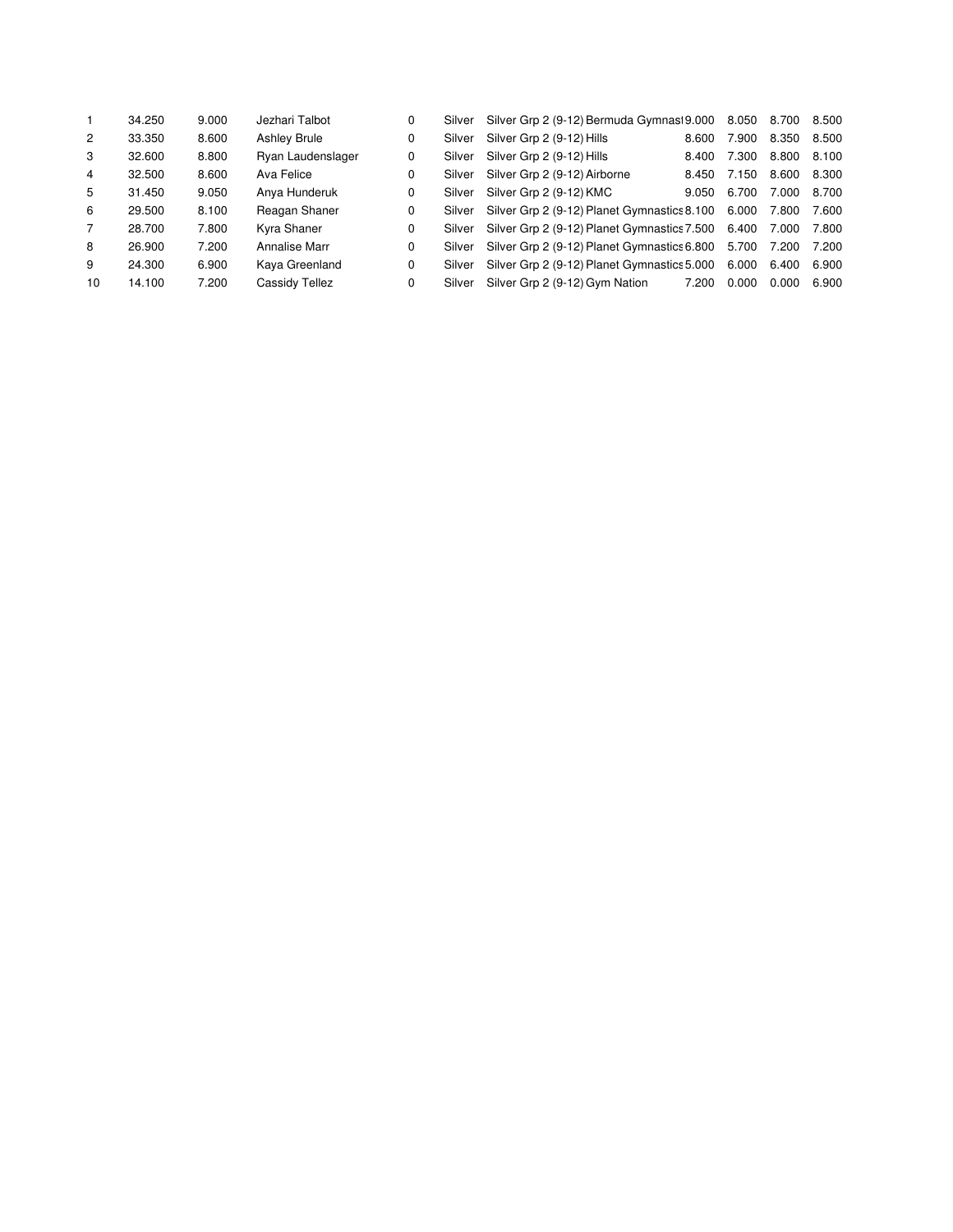|                | 34.250 | 9.000 | Jezhari Talbot      | 0 | Silver | Silver Grp 2 (9-12) Bermuda Gymnas 9.000 8.050 8.700 8.500    |       |                   |       |       |
|----------------|--------|-------|---------------------|---|--------|---------------------------------------------------------------|-------|-------------------|-------|-------|
| $\overline{2}$ | 33.350 | 8.600 | <b>Ashley Brule</b> | 0 | Silver | Silver Grp 2 (9-12) Hills                                     | 8.600 | 7.900             | 8.350 | 8.500 |
| 3              | 32.600 | 8.800 | Ryan Laudenslager   | 0 | Silver | Silver Grp 2 (9-12) Hills                                     | 8.400 | 7.300             | 8.800 | 8.100 |
| 4              | 32.500 | 8.600 | Ava Felice          | 0 | Silver | Silver Grp 2 (9-12) Airborne                                  | 8.450 | 7.150 8.600 8.300 |       |       |
| 5              | 31.450 | 9.050 | Anya Hunderuk       | 0 | Silver | Silver Grp 2 (9-12) KMC                                       | 9.050 | 6.700             | 7.000 | 8.700 |
| 6              | 29.500 | 8.100 | Reagan Shaner       | 0 | Silver | Silver Grp 2 (9-12) Planet Gymnastics 8.100 6.000 7.800       |       |                   |       | 7.600 |
| 7              | 28.700 | 7.800 | Kyra Shaner         | 0 | Silver | Silver Grp 2 (9-12) Planet Gymnastics 7.500 6.400 7.000 7.800 |       |                   |       |       |
| 8              | 26.900 | 7.200 | Annalise Marr       | 0 | Silver | Silver Grp 2 (9-12) Planet Gymnastics 6.800                   |       | 5.700 7.200 7.200 |       |       |
| 9              | 24.300 | 6.900 | Kaya Greenland      | 0 | Silver | Silver Grp 2 (9-12) Planet Gymnastics 5.000                   |       | 6.000 6.400       |       | 6.900 |
| 10             | 14.100 | 7.200 | Cassidy Tellez      | 0 | Silver | Silver Grp 2 (9-12) Gym Nation                                | 7.200 | 0.000             | 0.000 | 6.900 |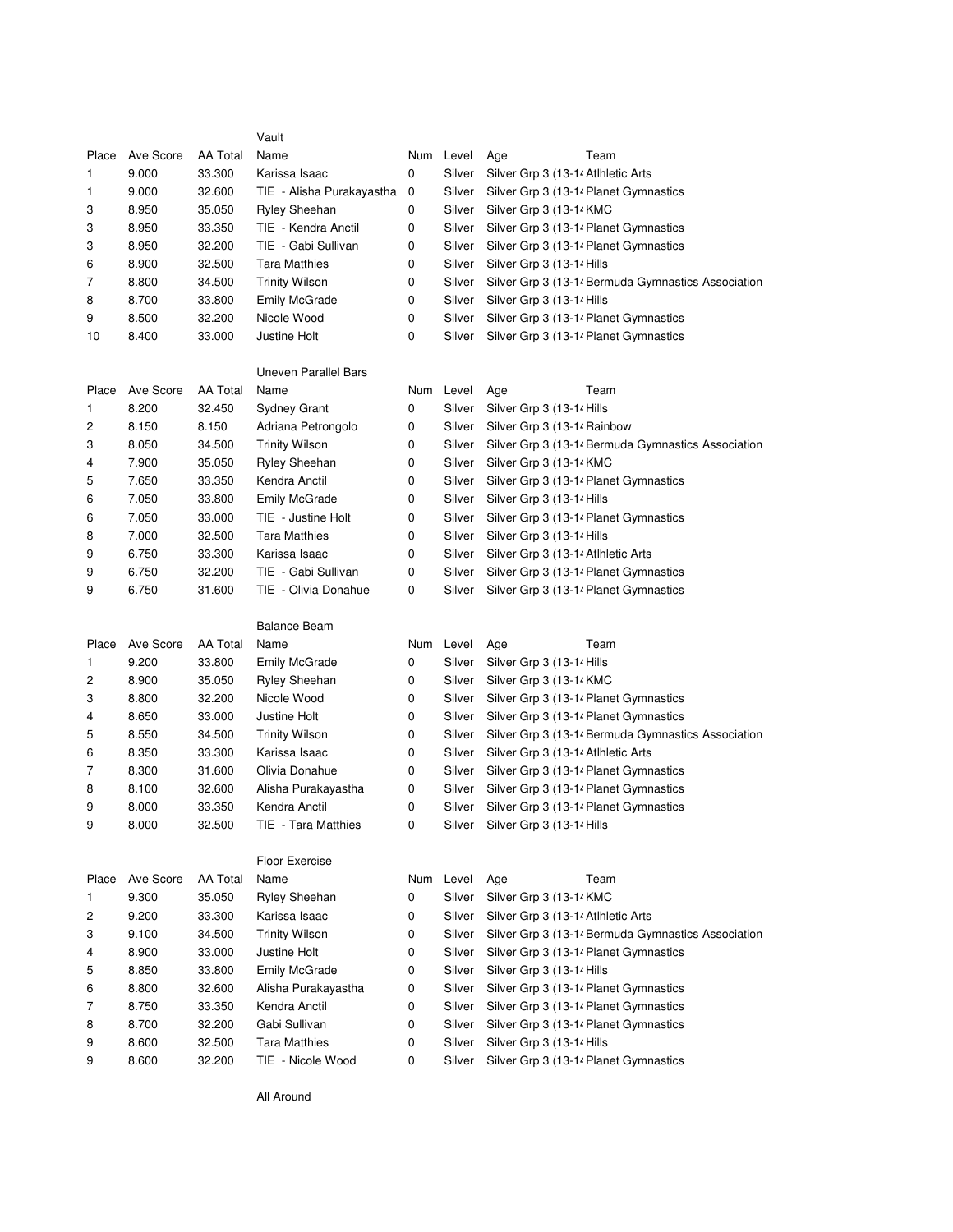|       |           |                 | Vault                       |   |           |                                                    |
|-------|-----------|-----------------|-----------------------------|---|-----------|----------------------------------------------------|
| Place | Ave Score | <b>AA Total</b> | Name                        |   | Num Level | Team<br>Age                                        |
| 1     | 9.000     | 33.300          | Karissa Isaac               | 0 | Silver    | Silver Grp 3 (13-14 Atlhletic Arts                 |
| 1     | 9.000     | 32.600          | TIE - Alisha Purakayastha   | 0 | Silver    | Silver Grp 3 (13-14 Planet Gymnastics              |
| 3     | 8.950     | 35.050          | <b>Ryley Sheehan</b>        | 0 | Silver    | Silver Grp 3 (13-14 KMC                            |
| 3     | 8.950     | 33.350          | TIE - Kendra Anctil         | 0 | Silver    | Silver Grp 3 (13-14 Planet Gymnastics              |
| 3     | 8.950     | 32.200          | TIE - Gabi Sullivan         | 0 | Silver    | Silver Grp 3 (13-14 Planet Gymnastics              |
| 6     | 8.900     | 32.500          | <b>Tara Matthies</b>        | 0 | Silver    | Silver Grp 3 (13-14 Hills                          |
| 7     | 8.800     | 34.500          | <b>Trinity Wilson</b>       | 0 | Silver    | Silver Grp 3 (13-14 Bermuda Gymnastics Association |
| 8     | 8.700     | 33.800          | <b>Emily McGrade</b>        | 0 | Silver    | Silver Grp 3 (13-14 Hills                          |
| 9     | 8.500     | 32.200          | Nicole Wood                 | 0 | Silver    | Silver Grp 3 (13-14 Planet Gymnastics              |
| 10    | 8.400     | 33.000          | Justine Holt                | 0 | Silver    | Silver Grp 3 (13-14 Planet Gymnastics              |
|       |           |                 | <b>Uneven Parallel Bars</b> |   |           |                                                    |
| Place | Ave Score | AA Total        | Name                        |   | Num Level | Team<br>Age                                        |
| 1     | 8.200     | 32.450          | Sydney Grant                | 0 | Silver    | Silver Grp 3 (13-14 Hills                          |
| 2     | 8.150     | 8.150           | Adriana Petrongolo          | 0 | Silver    | Silver Grp 3 (13-14 Rainbow                        |
| 3     | 8.050     | 34.500          | <b>Trinity Wilson</b>       | 0 | Silver    | Silver Grp 3 (13-14 Bermuda Gymnastics Association |
| 4     | 7.900     | 35.050          | Ryley Sheehan               | 0 | Silver    | Silver Grp 3 (13-14 KMC                            |
| 5     | 7.650     | 33.350          | Kendra Anctil               | 0 | Silver    | Silver Grp 3 (13-14 Planet Gymnastics              |
| 6     | 7.050     | 33.800          | <b>Emily McGrade</b>        | 0 | Silver    | Silver Grp 3 (13-14 Hills                          |
| 6     | 7.050     | 33.000          | TIE - Justine Holt          | 0 | Silver    | Silver Grp 3 (13-14 Planet Gymnastics              |
| 8     | 7.000     | 32.500          | <b>Tara Matthies</b>        | 0 | Silver    | Silver Grp 3 (13-14 Hills                          |
| 9     | 6.750     | 33.300          | Karissa Isaac               | 0 | Silver    | Silver Grp 3 (13-14 Atlhletic Arts                 |
| 9     | 6.750     | 32.200          | TIE - Gabi Sullivan         | 0 | Silver    | Silver Grp 3 (13-14 Planet Gymnastics              |
| 9     | 6.750     | 31.600          | TIE - Olivia Donahue        | 0 | Silver    | Silver Grp 3 (13-14 Planet Gymnastics              |
|       |           |                 |                             |   |           |                                                    |
|       |           |                 | <b>Balance Beam</b>         |   |           |                                                    |
| Place | Ave Score | <b>AA Total</b> | Name                        |   | Num Level | Age<br>Team                                        |
| 1     | 9.200     | 33.800          | <b>Emily McGrade</b>        | 0 | Silver    | Silver Grp 3 (13-14 Hills                          |
| 2     | 8.900     | 35.050          | <b>Ryley Sheehan</b>        | 0 | Silver    | Silver Grp 3 (13-14 KMC                            |
| 3     | 8.800     | 32.200          | Nicole Wood                 | 0 | Silver    | Silver Grp 3 (13-14 Planet Gymnastics              |
| 4     | 8.650     | 33.000          | Justine Holt                | 0 | Silver    | Silver Grp 3 (13-14 Planet Gymnastics              |
| 5     | 8.550     | 34.500          | <b>Trinity Wilson</b>       | 0 | Silver    | Silver Grp 3 (13-14 Bermuda Gymnastics Association |
| 6     | 8.350     | 33.300          | Karissa Isaac               | 0 | Silver    | Silver Grp 3 (13-14 Atlhletic Arts                 |
| 7     | 8.300     | 31.600          | Olivia Donahue              | 0 | Silver    | Silver Grp 3 (13-14 Planet Gymnastics              |
| 8     | 8.100     | 32.600          | Alisha Purakayastha         | 0 | Silver    | Silver Grp 3 (13-14 Planet Gymnastics              |
| 9     | 8.000     | 33.350          | Kendra Anctil               | 0 | Silver    | Silver Grp 3 (13-14 Planet Gymnastics              |
| 9     | 8.000     | 32.500          | TIE - Tara Matthies         | 0 |           | Silver Silver Grp 3 (13-14 Hills                   |
|       |           |                 | Floor Exercise              |   |           |                                                    |
| Place | Ave Score | <b>AA Total</b> | Name                        |   | Num Level | Age<br>Team                                        |
| 1     | 9.300     | 35.050          | <b>Ryley Sheehan</b>        | 0 | Silver    | Silver Grp 3 (13-14 KMC                            |
| 2     | 9.200     | 33.300          | Karissa Isaac               | 0 | Silver    | Silver Grp 3 (13-14 Atlhletic Arts                 |
| 3     | 9.100     | 34.500          | <b>Trinity Wilson</b>       | 0 | Silver    | Silver Grp 3 (13-14 Bermuda Gymnastics Association |
| 4     | 8.900     | 33.000          | Justine Holt                | 0 | Silver    | Silver Grp 3 (13-14 Planet Gymnastics              |
| 5     | 8.850     | 33.800          | <b>Emily McGrade</b>        | 0 | Silver    | Silver Grp 3 (13-14 Hills                          |
| 6     | 8.800     | 32.600          | Alisha Purakayastha         | 0 | Silver    | Silver Grp 3 (13-14 Planet Gymnastics              |
| 7     | 8.750     | 33.350          | Kendra Anctil               | 0 | Silver    | Silver Grp 3 (13-14 Planet Gymnastics              |
| 8     | 8.700     | 32.200          | Gabi Sullivan               | 0 | Silver    | Silver Grp 3 (13-14 Planet Gymnastics              |
| 9     | 8.600     | 32.500          | <b>Tara Matthies</b>        | 0 | Silver    | Silver Grp 3 (13-14 Hills                          |

All Around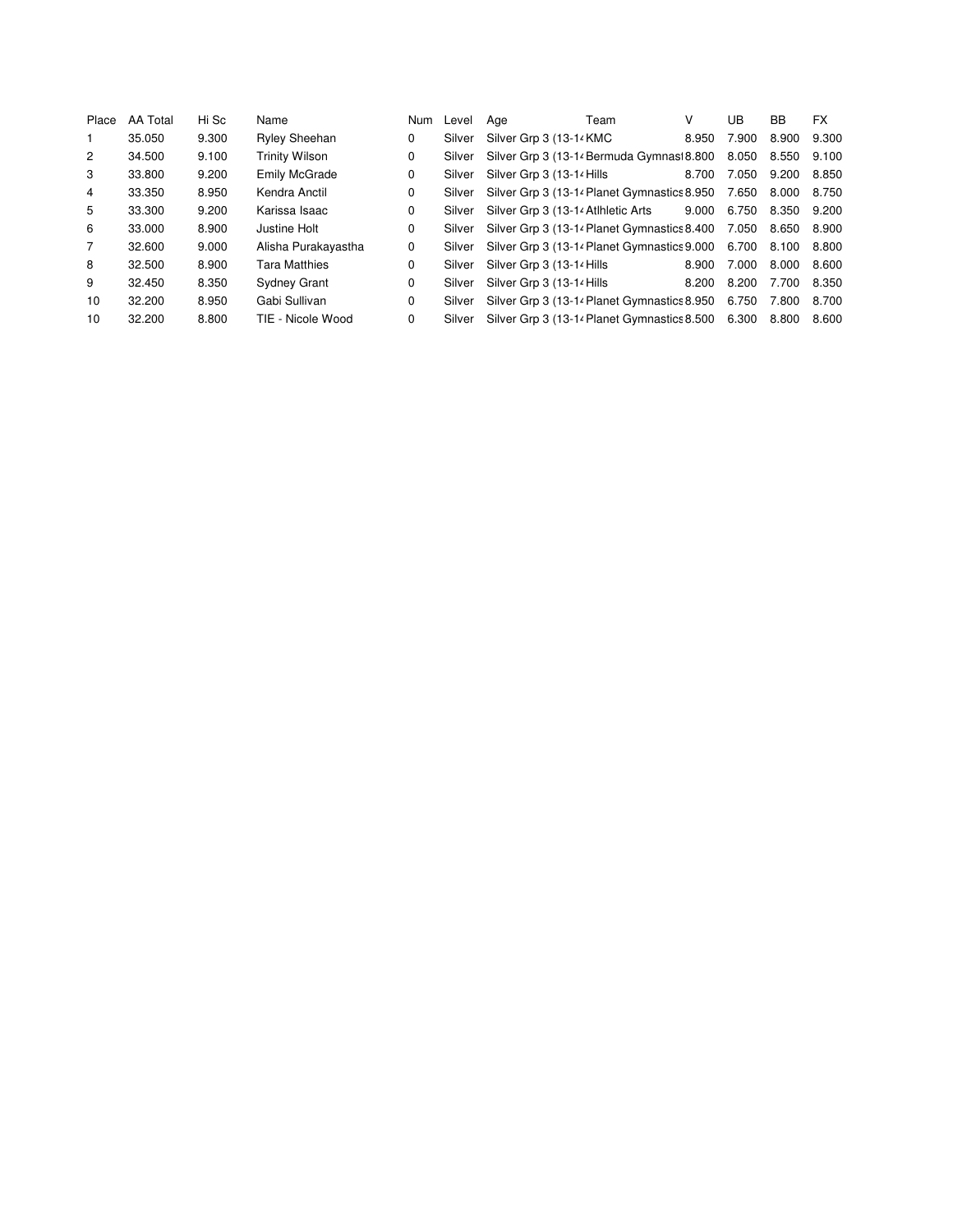| Place          | <b>AA Total</b> | Hi Sc | Name                  | <b>Num</b> | Level  | Age                                          | Team | v     | UB                | BB          | <b>FX</b> |
|----------------|-----------------|-------|-----------------------|------------|--------|----------------------------------------------|------|-------|-------------------|-------------|-----------|
| 1              | 35.050          | 9.300 | <b>Ryley Sheehan</b>  | 0          | Silver | Silver Grp 3 (13-14 KMC                      |      | 8.950 | 7.900             | 8.900       | 9.300     |
| $\mathbf{2}$   | 34.500          | 9.100 | <b>Trinity Wilson</b> | 0          | Silver | Silver Grp 3 (13-14 Bermuda Gymnasi 8.800    |      |       | 8.050             | 8.550 9.100 |           |
| 3              | 33.800          | 9.200 | <b>Emily McGrade</b>  | 0          | Silver | Silver Grp 3 (13-14 Hills                    |      | 8.700 | 7.050 9.200       |             | 8.850     |
| 4              | 33.350          | 8.950 | Kendra Anctil         | 0          | Silver | Silver Grp 3 (13-14 Planet Gymnastics 8.950) |      |       | 7.650             | 8.000 8.750 |           |
| 5              | 33.300          | 9.200 | Karissa Isaac         | 0          | Silver | Silver Grp 3 (13-14 Atlhletic Arts           |      | 9.000 | 6.750             | 8.350       | 9.200     |
| 6              | 33.000          | 8.900 | Justine Holt          | 0          | Silver | Silver Grp 3 (13-14 Planet Gymnastics 8.400  |      |       | 7.050 8.650 8.900 |             |           |
| $\overline{7}$ | 32.600          | 9.000 | Alisha Purakayastha   | 0          | Silver | Silver Grp 3 (13-14 Planet Gymnastics 9.000  |      |       | 6.700 8.100       |             | 8.800     |
| 8              | 32.500          | 8.900 | <b>Tara Matthies</b>  | 0          | Silver | Silver Grp 3 (13-14 Hills                    |      | 8.900 | 7.000             | 8.000       | 8.600     |
| 9              | 32.450          | 8.350 | <b>Sydney Grant</b>   | 0          | Silver | Silver Grp 3 (13-14 Hills                    |      | 8.200 | 8.200             | 7.700       | 8.350     |
| 10             | 32,200          | 8.950 | Gabi Sullivan         | $\Omega$   | Silver | Silver Grp 3 (13-14 Planet Gymnastics 8.950) |      |       | 6.750             | 7.800       | 8.700     |
| 10             | 32,200          | 8.800 | TIE - Nicole Wood     | 0          | Silver | Silver Grp 3 (13-14 Planet Gymnastics 8.500  |      |       | 6.300             | 8.800       | 8.600     |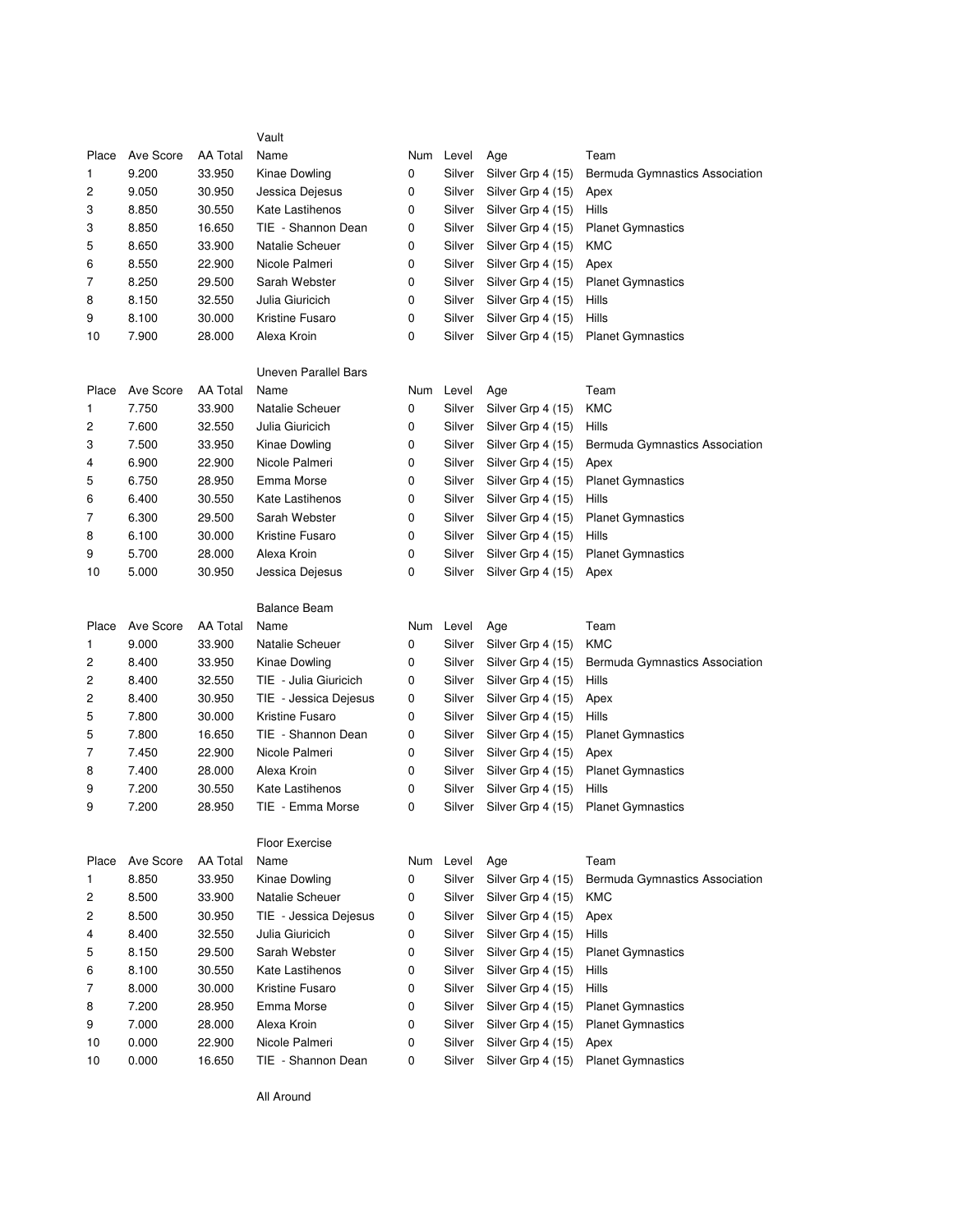|       |           |                 | Vault                       |   |           |                   |                                  |
|-------|-----------|-----------------|-----------------------------|---|-----------|-------------------|----------------------------------|
| Place | Ave Score | <b>AA Total</b> | Name                        |   | Num Level | Age               | Team                             |
| 1     | 9.200     | 33.950          | Kinae Dowling               | 0 | Silver    | Silver Grp 4 (15) | Bermuda Gymnastics Association   |
| 2     | 9.050     | 30.950          | Jessica Dejesus             | 0 | Silver    | Silver Grp 4 (15) | Apex                             |
| 3     | 8.850     | 30.550          | Kate Lastihenos             | 0 | Silver    | Silver Grp 4 (15) | Hills                            |
| 3     | 8.850     | 16.650          | TIE - Shannon Dean          | 0 | Silver    | Silver Grp 4 (15) | <b>Planet Gymnastics</b>         |
| 5     | 8.650     | 33.900          | Natalie Scheuer             | 0 | Silver    | Silver Grp 4 (15) | KMC                              |
| 6     | 8.550     | 22.900          | Nicole Palmeri              | 0 | Silver    | Silver Grp 4 (15) | Apex                             |
| 7     | 8.250     | 29.500          | Sarah Webster               | 0 | Silver    | Silver Grp 4 (15) | <b>Planet Gymnastics</b>         |
| 8     | 8.150     | 32.550          | Julia Giuricich             | 0 | Silver    | Silver Grp 4 (15) | Hills                            |
| 9     | 8.100     | 30.000          | Kristine Fusaro             | 0 | Silver    | Silver Grp 4 (15) | Hills                            |
| 10    | 7.900     | 28.000          | Alexa Kroin                 | 0 | Silver    | Silver Grp 4 (15) | <b>Planet Gymnastics</b>         |
|       |           |                 | <b>Uneven Parallel Bars</b> |   |           |                   |                                  |
| Place | Ave Score | <b>AA Total</b> | Name                        |   | Num Level | Age               | Team                             |
| 1     | 7.750     | 33.900          | Natalie Scheuer             | 0 | Silver    | Silver Grp 4 (15) | <b>KMC</b>                       |
| 2     | 7.600     | 32.550          | Julia Giuricich             | 0 | Silver    | Silver Grp 4 (15) | Hills                            |
| 3     | 7.500     | 33.950          | Kinae Dowling               | 0 | Silver    | Silver Grp 4 (15) | Bermuda Gymnastics Association   |
| 4     | 6.900     | 22.900          | Nicole Palmeri              | 0 | Silver    | Silver Grp 4 (15) | Apex                             |
| 5     | 6.750     | 28.950          | Emma Morse                  | 0 | Silver    | Silver Grp 4 (15) | <b>Planet Gymnastics</b>         |
| 6     | 6.400     | 30.550          | Kate Lastihenos             | 0 | Silver    | Silver Grp 4 (15) | Hills                            |
| 7     | 6.300     | 29.500          | Sarah Webster               | 0 | Silver    | Silver Grp 4 (15) | <b>Planet Gymnastics</b>         |
| 8     | 6.100     | 30.000          | Kristine Fusaro             | 0 | Silver    | Silver Grp 4 (15) | Hills                            |
| 9     | 5.700     | 28.000          | Alexa Kroin                 | 0 | Silver    | Silver Grp 4 (15) | <b>Planet Gymnastics</b>         |
| 10    | 5.000     | 30.950          | Jessica Dejesus             | 0 | Silver    | Silver Grp 4 (15) | Apex                             |
|       |           |                 |                             |   |           |                   |                                  |
|       |           |                 | <b>Balance Beam</b>         |   |           |                   |                                  |
| Place | Ave Score | <b>AA Total</b> | Name                        |   | Num Level | Age               | Team                             |
| 1     | 9.000     | 33.900          | Natalie Scheuer             | 0 | Silver    | Silver Grp 4 (15) | <b>KMC</b>                       |
| 2     | 8.400     | 33.950          | Kinae Dowling               | 0 | Silver    | Silver Grp 4 (15) | Bermuda Gymnastics Association   |
| 2     | 8.400     | 32.550          | TIE - Julia Giuricich       | 0 | Silver    | Silver Grp 4 (15) | Hills                            |
| 2     | 8.400     | 30.950          | TIE - Jessica Dejesus       | 0 | Silver    | Silver Grp 4 (15) | Apex                             |
| 5     | 7.800     | 30.000          | Kristine Fusaro             | 0 | Silver    | Silver Grp 4 (15) | Hills                            |
| 5     | 7.800     | 16.650          | TIE - Shannon Dean          | 0 | Silver    | Silver Grp 4 (15) | <b>Planet Gymnastics</b>         |
| 7     | 7.450     | 22.900          | Nicole Palmeri              | 0 | Silver    | Silver Grp 4 (15) | Apex                             |
| 8     | 7.400     | 28.000          | Alexa Kroin                 | 0 | Silver    | Silver Grp 4 (15) | <b>Planet Gymnastics</b>         |
| 9     | 7.200     | 30.550          | Kate Lastihenos             | 0 | Silver    | Silver Grp 4 (15) | Hills                            |
| 9     | 7.200     | 28.950          | TIE - Emma Morse            | 0 | Silver    | Silver Grp 4 (15) | <b>Planet Gymnastics</b>         |
|       |           |                 | <b>Floor Exercise</b>       |   |           |                   |                                  |
| Place | Ave Score | <b>AA Total</b> | Name                        |   | Num Level | Age               | Team                             |
| 1     | 8.850     | 33.950          | Kinae Dowling               | 0 | Silver    | Silver Grp 4 (15) | Bermuda Gymnastics Association   |
| 2     | 8.500     | 33.900          | Natalie Scheuer             | 0 | Silver    | Silver Grp 4 (15) | KMC                              |
| 2     | 8.500     | 30.950          | TIE - Jessica Dejesus       | 0 | Silver    | Silver Grp 4 (15) | Apex                             |
| 4     | 8.400     | 32.550          | Julia Giuricich             | 0 | Silver    | Silver Grp 4 (15) | Hills                            |
| 5     | 8.150     | 29.500          | Sarah Webster               | 0 | Silver    | Silver Grp 4 (15) | <b>Planet Gymnastics</b>         |
| 6     | 8.100     | 30.550          | Kate Lastihenos             | 0 | Silver    | Silver Grp 4 (15) | Hills                            |
| 7     | 8.000     | 30.000          | Kristine Fusaro             | 0 | Silver    | Silver Grp 4 (15) | Hills                            |
| 8     | 7.200     | 28.950          | Emma Morse                  | 0 | Silver    | Silver Grp 4 (15) | <b>Planet Gymnastics</b>         |
| 9     | 7.000     | 28.000          | Alexa Kroin                 | 0 | Silver    | Silver Grp 4 (15) | <b>Planet Gymnastics</b>         |
| 10    | 0.000     | 22.900          | Nicole Palmeri              | 0 | Silver    | Silver Grp 4 (15) | Apex<br><b>Planet Gymnastics</b> |

All Around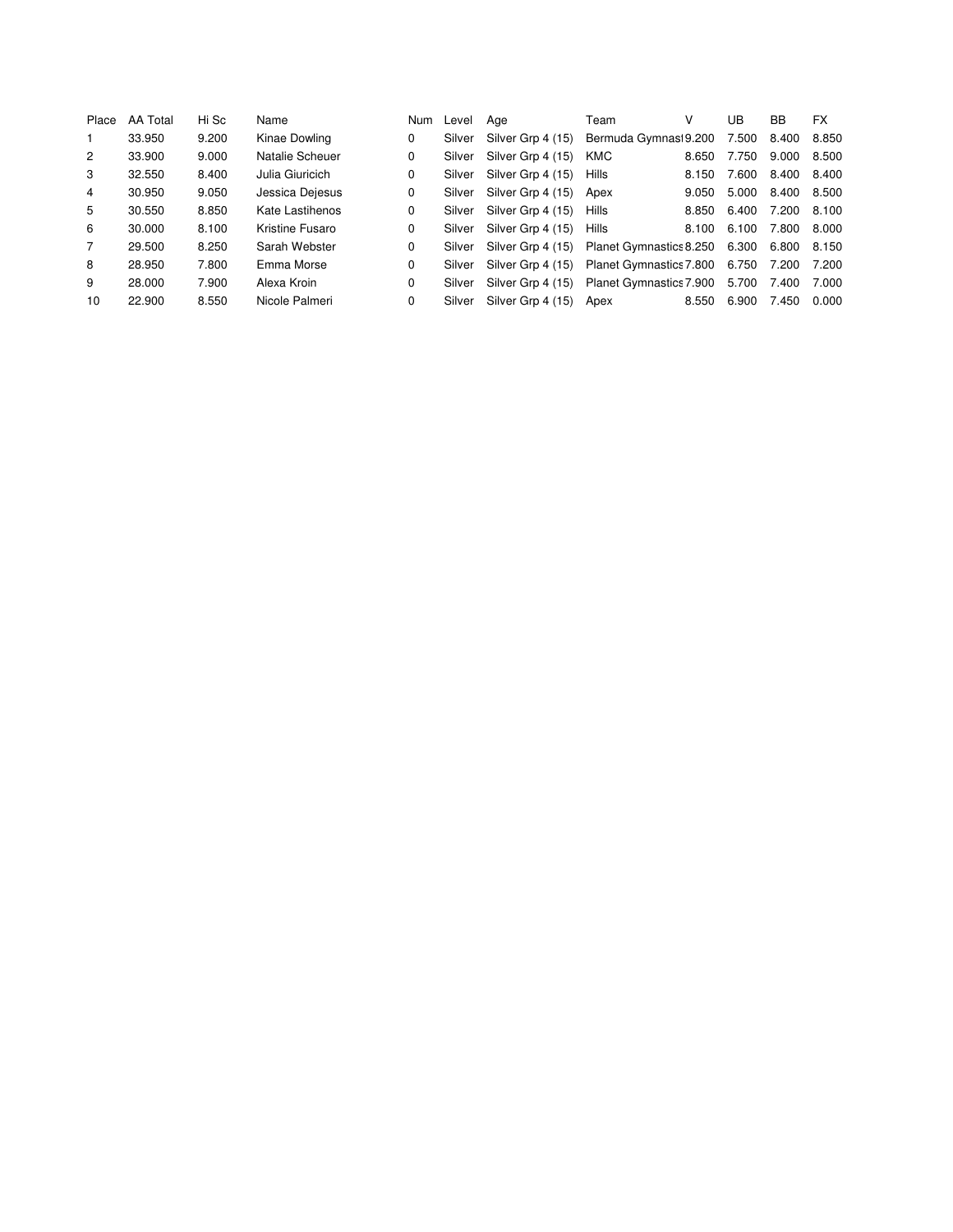| Place          | AA Total | Hi Sc | Name            | <b>Num</b> | Level  | Age               | Team                          | V     | UB    | BB    | <b>FX</b> |
|----------------|----------|-------|-----------------|------------|--------|-------------------|-------------------------------|-------|-------|-------|-----------|
|                | 33.950   | 9.200 | Kinae Dowling   | 0          | Silver | Silver Grp 4 (15) | Bermuda Gymnasi 9.200         |       | 7.500 | 8.400 | 8.850     |
| $\overline{2}$ | 33.900   | 9.000 | Natalie Scheuer | 0          | Silver | Silver Grp 4 (15) | <b>KMC</b>                    | 8.650 | 7.750 | 9.000 | 8.500     |
| 3              | 32.550   | 8.400 | Julia Giuricich | 0          | Silver | Silver Grp 4 (15) | Hills                         | 8.150 | 7.600 | 8.400 | 8.400     |
| 4              | 30.950   | 9.050 | Jessica Dejesus | 0          | Silver | Silver Grp 4 (15) | Apex                          | 9.050 | 5.000 | 8.400 | 8.500     |
| 5              | 30.550   | 8.850 | Kate Lastihenos | 0          | Silver | Silver Grp 4 (15) | Hills                         | 8.850 | 6.400 | 7.200 | 8.100     |
| 6              | 30.000   | 8.100 | Kristine Fusaro | 0          | Silver | Silver Grp 4 (15) | Hills                         | 8.100 | 6.100 | 7.800 | 8.000     |
| 7              | 29.500   | 8.250 | Sarah Webster   | 0          | Silver | Silver Grp 4 (15) | Planet Gymnastics 8.250 6.300 |       |       | 6.800 | 8.150     |
| 8              | 28.950   | 7.800 | Emma Morse      | 0          | Silver | Silver Grp 4 (15) | Planet Gymnastics 7.800 6.750 |       |       | 7.200 | 7.200     |
| 9              | 28.000   | 7.900 | Alexa Kroin     | 0          | Silver | Silver Grp 4 (15) | Planet Gymnastics 7.900       |       | 5.700 | 7.400 | 7.000     |
| 10             | 22,900   | 8.550 | Nicole Palmeri  | 0          | Silver | Silver Grp 4 (15) | Apex                          | 8.550 | 6.900 | 7.450 | 0.000     |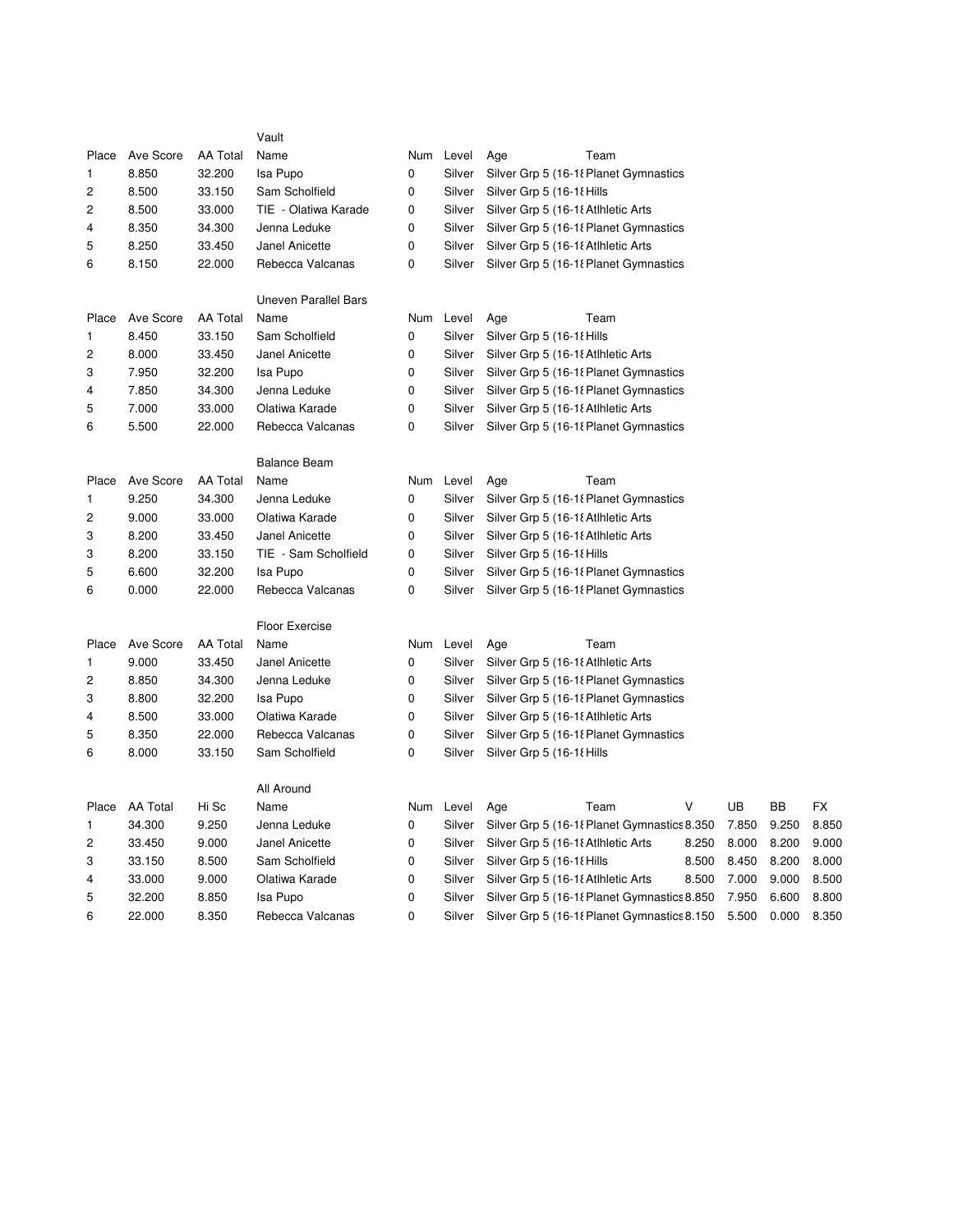|                |                 |                 | Vault                       |     |        |                                              |       |       |       |
|----------------|-----------------|-----------------|-----------------------------|-----|--------|----------------------------------------------|-------|-------|-------|
| Place          | Ave Score       | <b>AA Total</b> | Name                        | Num | Level  | Age<br>Team                                  |       |       |       |
| $\mathbf{1}$   | 8.850           | 32.200          | Isa Pupo                    | 0   | Silver | Silver Grp 5 (16-18 Planet Gymnastics        |       |       |       |
| $\overline{c}$ | 8.500           | 33.150          | Sam Scholfield              | 0   | Silver | Silver Grp 5 (16-18 Hills                    |       |       |       |
| $\overline{2}$ | 8.500           | 33.000          | TIE - Olatiwa Karade        | 0   | Silver | Silver Grp 5 (16-18 Atlhletic Arts           |       |       |       |
| 4              | 8.350           | 34.300          | Jenna Leduke                | 0   | Silver | Silver Grp 5 (16-18 Planet Gymnastics        |       |       |       |
| 5              | 8.250           | 33.450          | Janel Anicette              | 0   | Silver | Silver Grp 5 (16-18 Atlhletic Arts           |       |       |       |
| 6              | 8.150           | 22.000          | Rebecca Valcanas            | 0   | Silver | Silver Grp 5 (16-18 Planet Gymnastics        |       |       |       |
|                |                 |                 | <b>Uneven Parallel Bars</b> |     |        |                                              |       |       |       |
| Place          | Ave Score       | <b>AA Total</b> | Name                        | Num | Level  | Team<br>Age                                  |       |       |       |
| 1              | 8.450           | 33.150          | Sam Scholfield              | 0   | Silver | Silver Grp 5 (16-18 Hills                    |       |       |       |
| $\overline{c}$ | 8.000           | 33.450          | Janel Anicette              | 0   | Silver | Silver Grp 5 (16-18 Atlhletic Arts           |       |       |       |
| 3              | 7.950           | 32.200          | Isa Pupo                    | 0   | Silver | Silver Grp 5 (16-18 Planet Gymnastics        |       |       |       |
| $\overline{4}$ | 7.850           | 34.300          | Jenna Leduke                | 0   | Silver | Silver Grp 5 (16-18 Planet Gymnastics        |       |       |       |
| 5              | 7.000           | 33.000          | Olatiwa Karade              | 0   | Silver | Silver Grp 5 (16-18 Atlhletic Arts           |       |       |       |
| 6              | 5.500           | 22.000          | Rebecca Valcanas            | 0   | Silver | Silver Grp 5 (16-18 Planet Gymnastics        |       |       |       |
|                |                 |                 | <b>Balance Beam</b>         |     |        |                                              |       |       |       |
| Place          | Ave Score       | <b>AA Total</b> | Name                        | Num | Level  | Age<br>Team                                  |       |       |       |
| 1              | 9.250           | 34.300          | Jenna Leduke                | 0   | Silver | Silver Grp 5 (16-18 Planet Gymnastics        |       |       |       |
| 2              | 9.000           | 33.000          | Olatiwa Karade              | 0   | Silver | Silver Grp 5 (16-18 Atlhletic Arts           |       |       |       |
| 3              | 8.200           | 33.450          | Janel Anicette              | 0   | Silver | Silver Grp 5 (16-18 Atlhletic Arts           |       |       |       |
| 3              | 8.200           | 33.150          | TIE - Sam Scholfield        | 0   | Silver | Silver Grp 5 (16-18 Hills                    |       |       |       |
| 5              | 6.600           | 32.200          | Isa Pupo                    | 0   | Silver | Silver Grp 5 (16-18 Planet Gymnastics        |       |       |       |
| 6              | 0.000           | 22.000          | Rebecca Valcanas            | 0   | Silver | Silver Grp 5 (16-18 Planet Gymnastics        |       |       |       |
|                |                 |                 | <b>Floor Exercise</b>       |     |        |                                              |       |       |       |
| Place          | Ave Score       | <b>AA Total</b> | Name                        | Num | Level  | Team<br>Age                                  |       |       |       |
| 1              | 9.000           | 33.450          | Janel Anicette              | 0   | Silver | Silver Grp 5 (16-18 Atlhletic Arts           |       |       |       |
| 2              | 8.850           | 34.300          | Jenna Leduke                | 0   | Silver | Silver Grp 5 (16-18 Planet Gymnastics        |       |       |       |
| 3              | 8.800           | 32.200          | Isa Pupo                    | 0   | Silver | Silver Grp 5 (16-18 Planet Gymnastics        |       |       |       |
| 4              | 8.500           | 33.000          | Olatiwa Karade              | 0   | Silver | Silver Grp 5 (16-18 Atlhletic Arts           |       |       |       |
| 5              | 8.350           | 22.000          | Rebecca Valcanas            | 0   | Silver | Silver Grp 5 (16-18 Planet Gymnastics        |       |       |       |
| 6              | 8.000           | 33.150          | Sam Scholfield              | 0   | Silver | Silver Grp 5 (16-18 Hills                    |       |       |       |
|                |                 |                 | All Around                  |     |        |                                              |       |       |       |
| Place          | <b>AA Total</b> | Hi Sc           | Name                        | Num | Level  | V<br>Team<br>Age                             | UB    | BB    | FX    |
| 1              | 34.300          | 9.250           | Jenna Leduke                | 0   | Silver | Silver Grp 5 (16-18 Planet Gymnastics 8.350) | 7.850 | 9.250 | 8.850 |
| 2              | 33.450          | 9.000           | Janel Anicette              | 0   | Silver | Silver Grp 5 (16-18 Atlhletic Arts<br>8.250  | 8.000 | 8.200 | 9.000 |
| 3              | 33.150          | 8.500           | Sam Scholfield              | 0   | Silver | Silver Grp 5 (16-18 Hills<br>8.500           | 8.450 | 8.200 | 8.000 |
| 4              | 33.000          | 9.000           | Olatiwa Karade              | 0   | Silver | Silver Grp 5 (16-18 Atlhletic Arts<br>8.500  | 7.000 | 9.000 | 8.500 |
| 5              | 32.200          | 8.850           | Isa Pupo                    | 0   | Silver | Silver Grp 5 (16-18 Planet Gymnastics 8.850) | 7.950 | 6.600 | 8.800 |
| 6              | 22.000          | 8.350           | Rebecca Valcanas            | 0   | Silver | Silver Grp 5 (16-18 Planet Gymnastics 8.150) | 5.500 | 0.000 | 8.350 |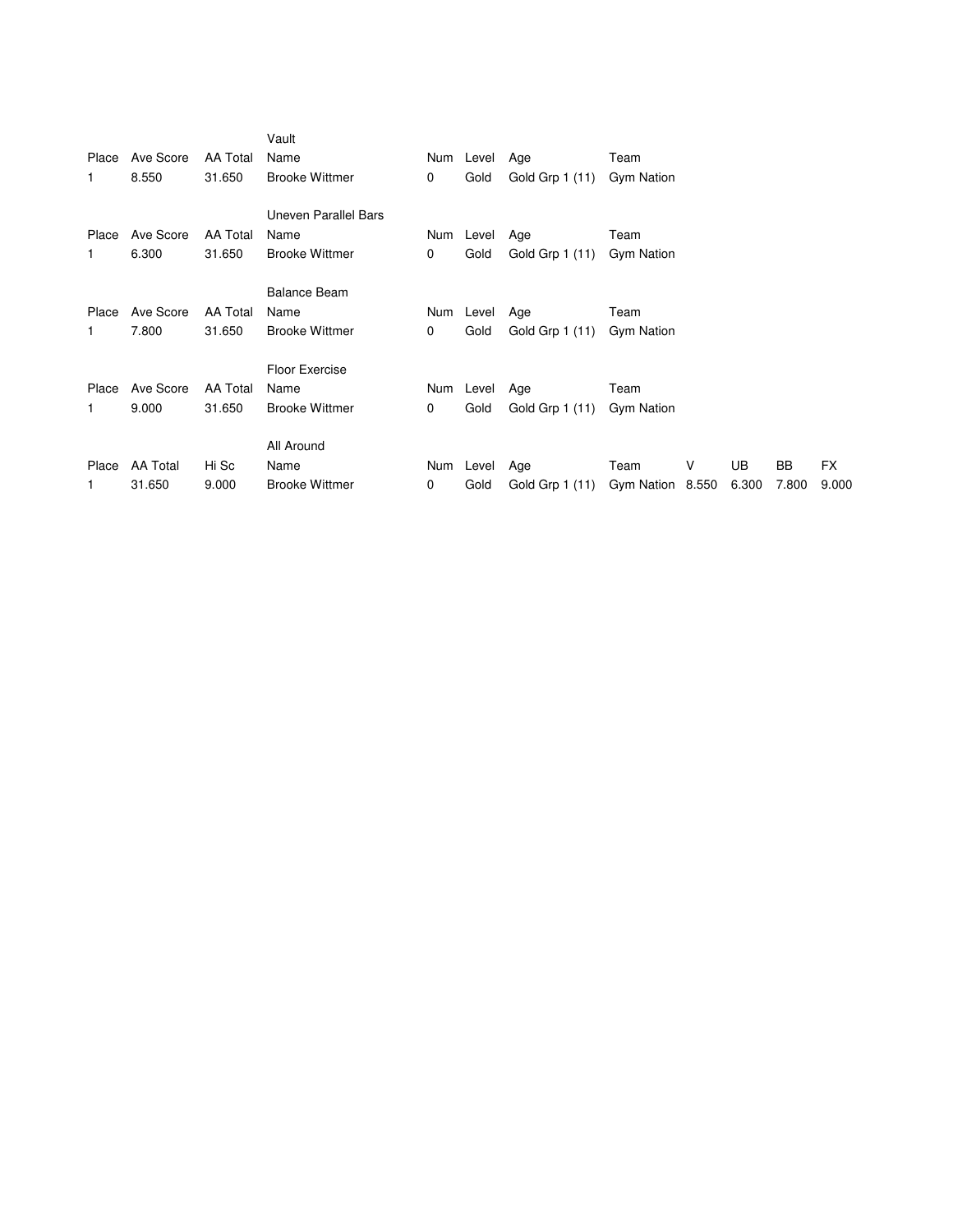|              |                 |                 | Vault                 |             |           |                 |                   |   |       |       |       |
|--------------|-----------------|-----------------|-----------------------|-------------|-----------|-----------------|-------------------|---|-------|-------|-------|
| Place        | Ave Score       | <b>AA Total</b> | Name                  |             | Num Level | Age             | Team              |   |       |       |       |
| $\mathbf{1}$ | 8.550           | 31.650          | <b>Brooke Wittmer</b> | 0           | Gold      | Gold Grp 1 (11) | <b>Gym Nation</b> |   |       |       |       |
|              |                 |                 |                       |             |           |                 |                   |   |       |       |       |
|              |                 |                 | Uneven Parallel Bars  |             |           |                 |                   |   |       |       |       |
| Place        | Ave Score       | AA Total        | Name                  | Num         | Level     | Age             | Team              |   |       |       |       |
| 1            | 6.300           | 31.650          | <b>Brooke Wittmer</b> | 0           | Gold      | Gold Grp 1 (11) | <b>Gym Nation</b> |   |       |       |       |
|              |                 |                 |                       |             |           |                 |                   |   |       |       |       |
|              |                 |                 | <b>Balance Beam</b>   |             |           |                 |                   |   |       |       |       |
| Place        | Ave Score       | <b>AA Total</b> | Name                  | Num         | Level     | Age             | Team              |   |       |       |       |
| $\mathbf{1}$ | 7.800           | 31.650          | <b>Brooke Wittmer</b> | $\mathbf 0$ | Gold      | Gold Grp 1 (11) | Gym Nation        |   |       |       |       |
|              |                 |                 |                       |             |           |                 |                   |   |       |       |       |
|              |                 |                 | Floor Exercise        |             |           |                 |                   |   |       |       |       |
| Place        | Ave Score       | <b>AA Total</b> | Name                  | Num         | Level     | Age             | Team              |   |       |       |       |
| $\mathbf{1}$ | 9.000           | 31.650          | <b>Brooke Wittmer</b> | 0           | Gold      | Gold Grp 1 (11) | <b>Gym Nation</b> |   |       |       |       |
|              |                 |                 |                       |             |           |                 |                   |   |       |       |       |
|              |                 |                 | All Around            |             |           |                 |                   |   |       |       |       |
| Place        | <b>AA Total</b> | Hi Sc           | Name                  | Num         | Level     | Age             | Team              | V | UB    | BB    | FX.   |
| 1            | 31.650          | 9.000           | <b>Brooke Wittmer</b> | 0           | Gold      | Gold Grp 1 (11) | Gym Nation 8.550  |   | 6.300 | 7.800 | 9.000 |
|              |                 |                 |                       |             |           |                 |                   |   |       |       |       |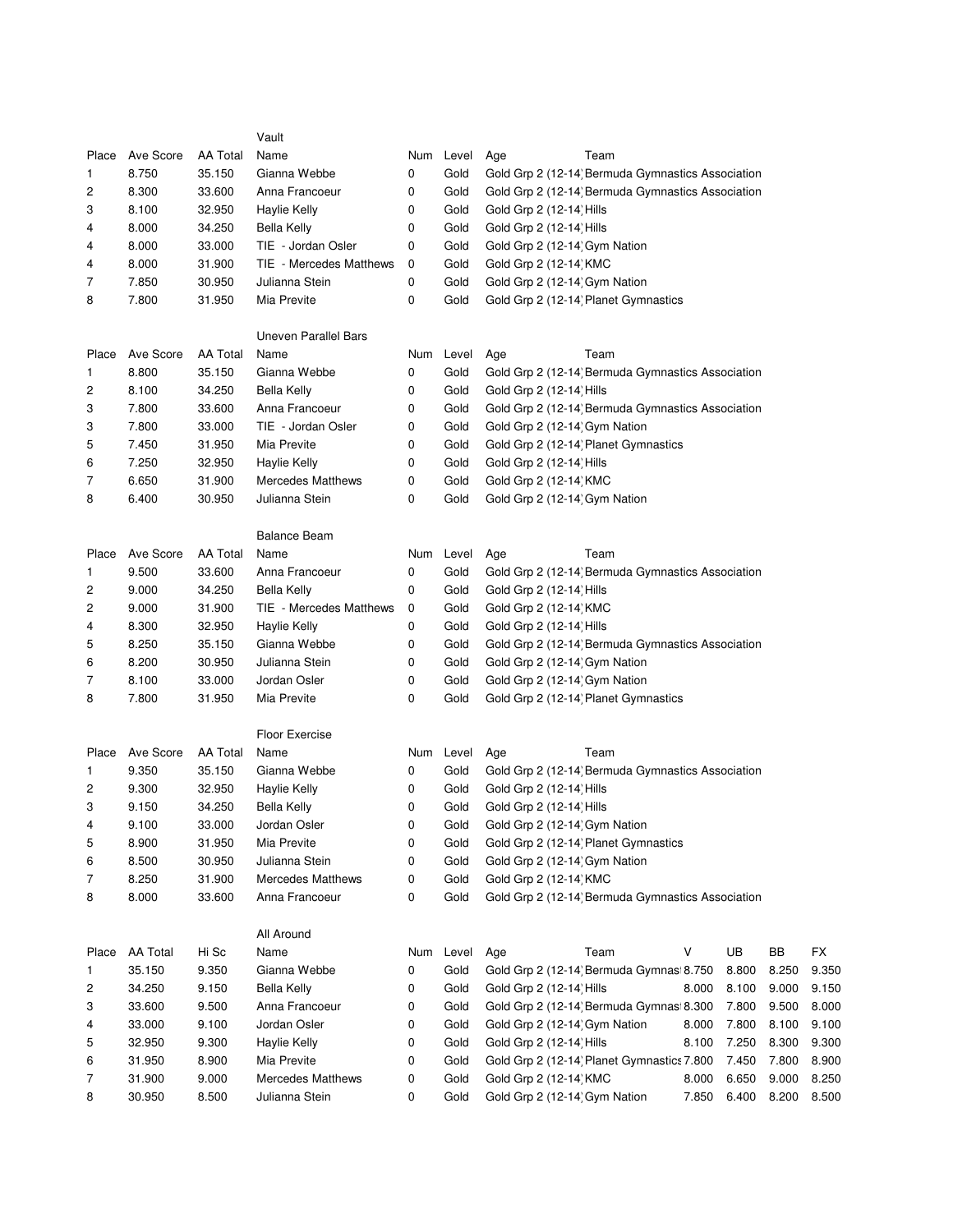|                |                 |          | Vault                       |     |           |                                                                       |
|----------------|-----------------|----------|-----------------------------|-----|-----------|-----------------------------------------------------------------------|
| Place          | Ave Score       | AA Total | Name                        |     | Num Level | Age<br>Team                                                           |
| 1              | 8.750           | 35.150   | Gianna Webbe                | 0   | Gold      | Gold Grp 2 (12-14) Bermuda Gymnastics Association                     |
| 2              | 8.300           | 33.600   | Anna Francoeur              | 0   | Gold      | Gold Grp 2 (12-14) Bermuda Gymnastics Association                     |
| 3              | 8.100           | 32.950   | Haylie Kelly                | 0   | Gold      | Gold Grp 2 (12-14) Hills                                              |
| 4              | 8.000           | 34.250   | <b>Bella Kelly</b>          | 0   | Gold      | Gold Grp 2 (12-14) Hills                                              |
| 4              | 8.000           | 33.000   | TIE - Jordan Osler          | 0   | Gold      | Gold Grp 2 (12-14) Gym Nation                                         |
| 4              | 8.000           | 31.900   | TIE - Mercedes Matthews     | 0   | Gold      | Gold Grp 2 (12-14) KMC                                                |
| 7              | 7.850           | 30.950   | Julianna Stein              | 0   | Gold      | Gold Grp 2 (12-14) Gym Nation                                         |
| 8              | 7.800           | 31.950   | Mia Previte                 | 0   | Gold      | Gold Grp 2 (12-14) Planet Gymnastics                                  |
|                |                 |          |                             |     |           |                                                                       |
|                |                 |          | <b>Uneven Parallel Bars</b> |     |           |                                                                       |
| Place          | Ave Score       | AA Total | Name                        |     | Num Level | Team<br>Age                                                           |
| 1              | 8.800           | 35.150   | Gianna Webbe                | 0   | Gold      | Gold Grp 2 (12-14) Bermuda Gymnastics Association                     |
| $\overline{c}$ | 8.100           | 34.250   | <b>Bella Kelly</b>          | 0   | Gold      | Gold Grp 2 (12-14) Hills                                              |
| 3              | 7.800           | 33.600   | Anna Francoeur              | 0   | Gold      | Gold Grp 2 (12-14) Bermuda Gymnastics Association                     |
| 3              | 7.800           | 33.000   | TIE - Jordan Osler          | 0   | Gold      | Gold Grp 2 (12-14) Gym Nation                                         |
| 5              | 7.450           | 31.950   | Mia Previte                 | 0   | Gold      | Gold Grp 2 (12-14) Planet Gymnastics                                  |
| 6              | 7.250           | 32.950   | Haylie Kelly                | 0   | Gold      | Gold Grp 2 (12-14) Hills                                              |
| 7              | 6.650           | 31.900   | <b>Mercedes Matthews</b>    | 0   | Gold      | Gold Grp 2 (12-14) KMC                                                |
| 8              | 6.400           | 30.950   | Julianna Stein              | 0   | Gold      | Gold Grp 2 (12-14) Gym Nation                                         |
|                |                 |          |                             |     |           |                                                                       |
|                |                 |          | <b>Balance Beam</b>         |     |           |                                                                       |
| Place          | Ave Score       | AA Total | Name                        | Num | Level     | Team<br>Age                                                           |
| 1              | 9.500           | 33.600   | Anna Francoeur              | 0   | Gold      | Gold Grp 2 (12-14) Bermuda Gymnastics Association                     |
| 2              | 9.000           | 34.250   | Bella Kelly                 | 0   | Gold      | Gold Grp 2 (12-14) Hills                                              |
| 2              | 9.000           | 31.900   | TIE - Mercedes Matthews     | 0   | Gold      | Gold Grp 2 (12-14) KMC                                                |
| 4              | 8.300           | 32.950   | <b>Haylie Kelly</b>         | 0   | Gold      | Gold Grp 2 (12-14) Hills                                              |
| 5              | 8.250           | 35.150   | Gianna Webbe                | 0   | Gold      | Gold Grp 2 (12-14) Bermuda Gymnastics Association                     |
| 6              | 8.200           | 30.950   | Julianna Stein              | 0   | Gold      | Gold Grp 2 (12-14) Gym Nation                                         |
| 7              | 8.100           | 33.000   | Jordan Osler                | 0   | Gold      | Gold Grp 2 (12-14) Gym Nation                                         |
| 8              | 7.800           | 31.950   | Mia Previte                 | 0   | Gold      | Gold Grp 2 (12-14) Planet Gymnastics                                  |
|                |                 |          |                             |     |           |                                                                       |
|                |                 |          | <b>Floor Exercise</b>       |     |           |                                                                       |
| Place          | Ave Score       | AA Total | Name                        |     | Num Level | Age<br>Team                                                           |
| 1              | 9.350           | 35.150   | Gianna Webbe                | 0   | Gold      | Gold Grp 2 (12-14 Bermuda Gymnastics Association                      |
| 2              | 9.300           | 32.950   | Haylie Kelly                | 0   | Gold      | Gold Grp 2 (12-14) Hills                                              |
| 3              | 9.150           | 34.250   | <b>Bella Kelly</b>          | 0   | Gold      | Gold Grp 2 (12-14) Hills                                              |
| 4              | 9.100           | 33.000   | Jordan Osler                | 0   | Gold      | Gold Grp 2 (12-14) Gym Nation                                         |
| 5              | 8.900           | 31.950   | Mia Previte                 | 0   | Gold      | Gold Grp 2 (12-14) Planet Gymnastics                                  |
| 6              | 8.500           | 30.950   | Julianna Stein              | 0   | Gold      | Gold Grp 2 (12-14) Gym Nation                                         |
| 7              | 8.250           | 31.900   | <b>Mercedes Matthews</b>    | 0   | Gold      | Gold Grp 2 (12-14) KMC                                                |
| 8              | 8.000           | 33.600   | Anna Francoeur              | 0   | Gold      | Gold Grp 2 (12-14) Bermuda Gymnastics Association                     |
|                |                 |          |                             |     |           |                                                                       |
|                |                 |          | All Around                  |     |           |                                                                       |
| Place          | <b>AA Total</b> | Hi Sc    | Name                        |     | Num Level | Team<br>V<br>UB<br>BB<br><b>FX</b><br>Age                             |
| 1              | 35.150          | 9.350    | Gianna Webbe                | 0   | Gold      | Gold Grp 2 (12-14 Bermuda Gymnasi 8.750<br>9.350<br>8.800<br>8.250    |
| 2              | 34.250          | 9.150    | <b>Bella Kelly</b>          | 0   | Gold      | Gold Grp 2 (12-14) Hills<br>8.000<br>8.100<br>9.000<br>9.150          |
| 3              | 33.600          | 9.500    | Anna Francoeur              | 0   | Gold      | Gold Grp 2 (12-14) Bermuda Gymnasi 8.300<br>8.000<br>7.800<br>9.500   |
| 4              | 33.000          | 9.100    | Jordan Osler                | 0   | Gold      | Gold Grp 2 (12-14) Gym Nation<br>8.000<br>7.800<br>8.100<br>9.100     |
| 5              | 32.950          | 9.300    | <b>Haylie Kelly</b>         | 0   | Gold      | Gold Grp 2 (12-14) Hills<br>8.100<br>7.250<br>8.300<br>9.300          |
| 6              | 31.950          | 8.900    | Mia Previte                 | 0   | Gold      | Gold Grp 2 (12-14) Planet Gymnastics 7.800<br>7.450<br>7.800<br>8.900 |
| 7              | 31.900          | 9.000    | <b>Mercedes Matthews</b>    | 0   | Gold      | Gold Grp 2 (12-14) KMC<br>8.000<br>6.650<br>9.000<br>8.250            |
| 8              | 30.950          | 8.500    | Julianna Stein              | 0   | Gold      | Gold Grp 2 (12-14) Gym Nation<br>7.850<br>6.400<br>8.200<br>8.500     |
|                |                 |          |                             |     |           |                                                                       |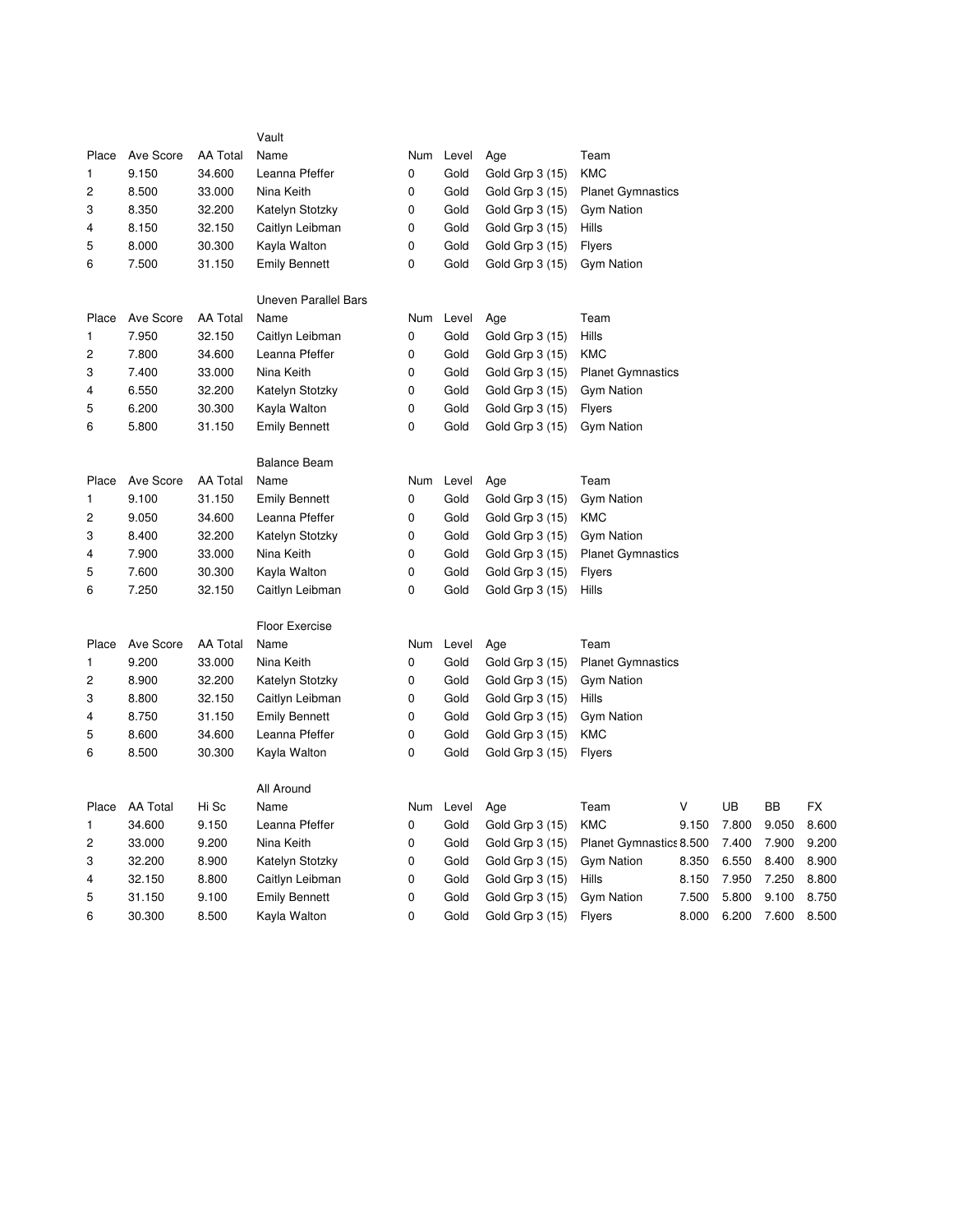|                         |                 |                 | Vault                       |             |       |                 |                          |       |       |       |       |
|-------------------------|-----------------|-----------------|-----------------------------|-------------|-------|-----------------|--------------------------|-------|-------|-------|-------|
| Place                   | Ave Score       | <b>AA Total</b> | Name                        | Num         | Level | Age             | Team                     |       |       |       |       |
| 1                       | 9.150           | 34.600          | Leanna Pfeffer              | 0           | Gold  | Gold Grp 3 (15) | <b>KMC</b>               |       |       |       |       |
| $\overline{c}$          | 8.500           | 33.000          | Nina Keith                  | 0           | Gold  | Gold Grp 3 (15) | <b>Planet Gymnastics</b> |       |       |       |       |
| 3                       | 8.350           | 32.200          | Katelyn Stotzky             | 0           | Gold  | Gold Grp 3 (15) | <b>Gym Nation</b>        |       |       |       |       |
| 4                       | 8.150           | 32.150          | Caitlyn Leibman             | 0           | Gold  | Gold Grp 3 (15) | Hills                    |       |       |       |       |
| 5                       | 8.000           | 30.300          | Kayla Walton                | 0           | Gold  | Gold Grp 3 (15) | <b>Flyers</b>            |       |       |       |       |
| 6                       | 7.500           | 31.150          | <b>Emily Bennett</b>        | 0           | Gold  | Gold Grp 3 (15) | <b>Gym Nation</b>        |       |       |       |       |
|                         |                 |                 | <b>Uneven Parallel Bars</b> |             |       |                 |                          |       |       |       |       |
| Place                   | Ave Score       | <b>AA Total</b> | Name                        | Num         | Level | Age             | Team                     |       |       |       |       |
| 1                       | 7.950           | 32.150          | Caitlyn Leibman             | 0           | Gold  | Gold Grp 3 (15) | Hills                    |       |       |       |       |
| 2                       | 7.800           | 34.600          | Leanna Pfeffer              | 0           | Gold  | Gold Grp 3 (15) | KMC                      |       |       |       |       |
| 3                       | 7.400           | 33.000          | Nina Keith                  | 0           | Gold  | Gold Grp 3 (15) | <b>Planet Gymnastics</b> |       |       |       |       |
| 4                       | 6.550           | 32.200          | Katelyn Stotzky             | 0           | Gold  | Gold Grp 3 (15) | <b>Gym Nation</b>        |       |       |       |       |
| 5                       | 6.200           | 30.300          | Kayla Walton                | 0           | Gold  | Gold Grp 3 (15) | <b>Flyers</b>            |       |       |       |       |
| 6                       | 5.800           | 31.150          | <b>Emily Bennett</b>        | 0           | Gold  | Gold Grp 3 (15) | <b>Gym Nation</b>        |       |       |       |       |
|                         |                 |                 | <b>Balance Beam</b>         |             |       |                 |                          |       |       |       |       |
| Place                   | Ave Score       | <b>AA Total</b> | Name                        | Num         | Level | Age             | Team                     |       |       |       |       |
| 1                       | 9.100           | 31.150          | <b>Emily Bennett</b>        | 0           | Gold  | Gold Grp 3 (15) | <b>Gym Nation</b>        |       |       |       |       |
| 2                       | 9.050           | 34.600          | Leanna Pfeffer              | $\pmb{0}$   | Gold  | Gold Grp 3 (15) | <b>KMC</b>               |       |       |       |       |
| 3                       | 8.400           | 32.200          | Katelyn Stotzky             | 0           | Gold  | Gold Grp 3 (15) | <b>Gym Nation</b>        |       |       |       |       |
| 4                       | 7.900           | 33.000          | Nina Keith                  | 0           | Gold  | Gold Grp 3 (15) | <b>Planet Gymnastics</b> |       |       |       |       |
| 5                       | 7.600           | 30.300          | Kayla Walton                | 0           | Gold  | Gold Grp 3 (15) | <b>Flyers</b>            |       |       |       |       |
| 6                       | 7.250           | 32.150          | Caitlyn Leibman             | 0           | Gold  | Gold Grp 3 (15) | Hills                    |       |       |       |       |
|                         |                 |                 | Floor Exercise              |             |       |                 |                          |       |       |       |       |
| Place                   | Ave Score       | <b>AA Total</b> | Name                        | Num         | Level | Age             | Team                     |       |       |       |       |
| 1                       | 9.200           | 33.000          | Nina Keith                  | 0           | Gold  | Gold Grp 3 (15) | <b>Planet Gymnastics</b> |       |       |       |       |
| $\overline{\mathbf{c}}$ | 8.900           | 32.200          | Katelyn Stotzky             | 0           | Gold  | Gold Grp 3 (15) | Gym Nation               |       |       |       |       |
| 3                       | 8.800           | 32.150          | Caitlyn Leibman             | 0           | Gold  | Gold Grp 3 (15) | Hills                    |       |       |       |       |
| 4                       | 8.750           | 31.150          | <b>Emily Bennett</b>        | 0           | Gold  | Gold Grp 3 (15) | <b>Gym Nation</b>        |       |       |       |       |
| 5                       | 8.600           | 34.600          | Leanna Pfeffer              | 0           | Gold  | Gold Grp 3 (15) | <b>KMC</b>               |       |       |       |       |
| 6                       | 8.500           | 30.300          | Kayla Walton                | 0           | Gold  | Gold Grp 3 (15) | Flyers                   |       |       |       |       |
|                         |                 |                 | All Around                  |             |       |                 |                          |       |       |       |       |
| Place                   | <b>AA Total</b> | Hi Sc           | Name                        | Num         | Level | Age             | Team                     | V     | UB    | BB    | FX    |
| 1                       | 34.600          | 9.150           | Leanna Pfeffer              | 0           | Gold  | Gold Grp 3 (15) | <b>KMC</b>               | 9.150 | 7.800 | 9.050 | 8.600 |
| 2                       | 33.000          | 9.200           | Nina Keith                  | 0           | Gold  | Gold Grp 3 (15) | Planet Gymnastics 8.500  |       | 7.400 | 7.900 | 9.200 |
| 3                       | 32.200          | 8.900           | Katelyn Stotzky             | 0           | Gold  | Gold Grp 3 (15) | <b>Gym Nation</b>        | 8.350 | 6.550 | 8.400 | 8.900 |
| 4                       | 32.150          | 8.800           | Caitlyn Leibman             | 0           | Gold  | Gold Grp 3 (15) | Hills                    | 8.150 | 7.950 | 7.250 | 8.800 |
| 5                       | 31.150          | 9.100           | <b>Emily Bennett</b>        | 0           | Gold  | Gold Grp 3 (15) | <b>Gym Nation</b>        | 7.500 | 5.800 | 9.100 | 8.750 |
| 6                       | 30.300          | 8.500           | Kayla Walton                | $\mathbf 0$ | Gold  | Gold Grp 3 (15) | <b>Flyers</b>            | 8.000 | 6.200 | 7.600 | 8.500 |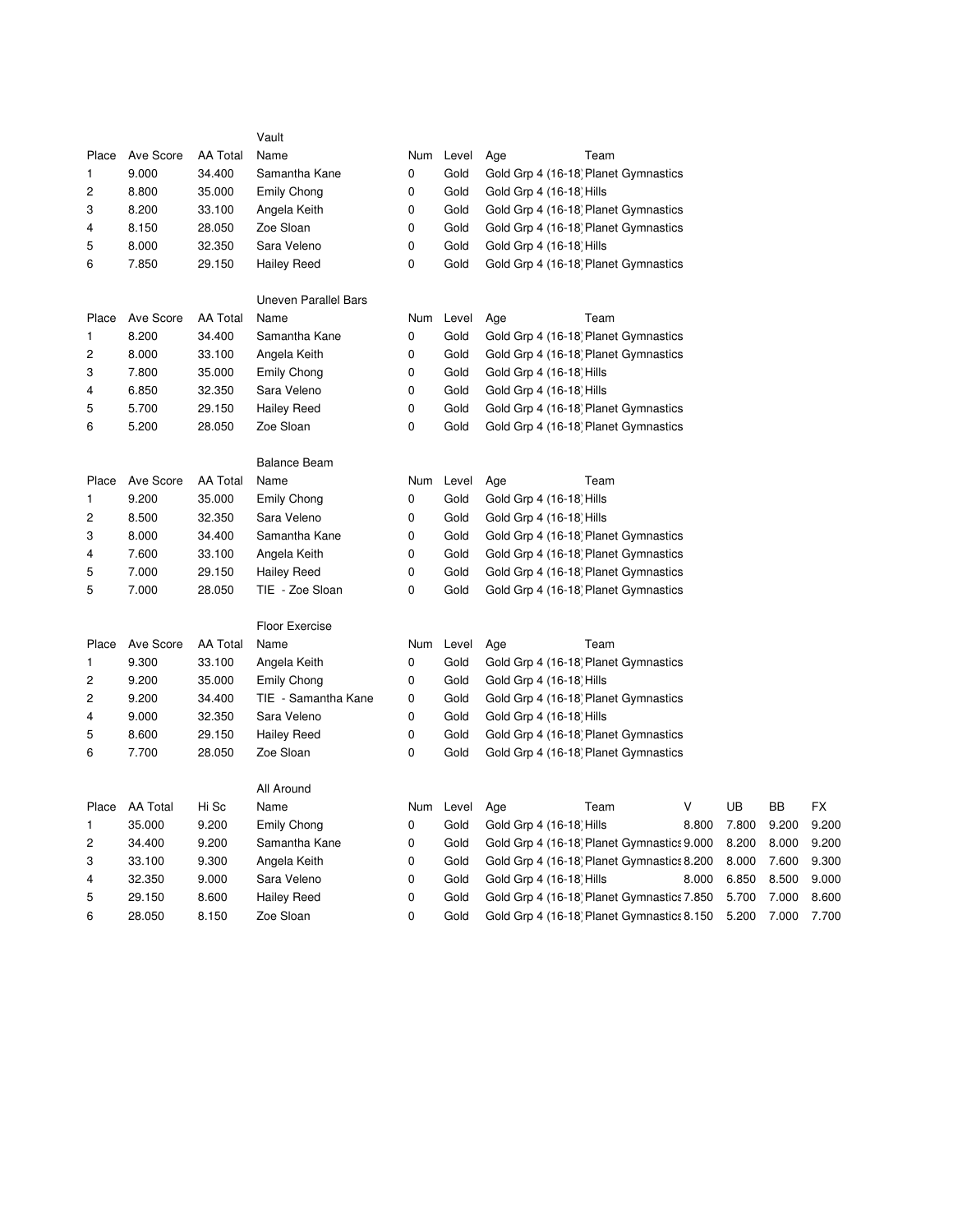|                         |                 |                 | Vault                       |     |           |                                            |       |       |       |
|-------------------------|-----------------|-----------------|-----------------------------|-----|-----------|--------------------------------------------|-------|-------|-------|
| Place                   | Ave Score       | <b>AA Total</b> | Name                        | Num | Level     | Team<br>Age                                |       |       |       |
| 1                       | 9.000           | 34.400          | Samantha Kane               | 0   | Gold      | Gold Grp 4 (16-18) Planet Gymnastics       |       |       |       |
| 2                       | 8.800           | 35.000          | <b>Emily Chong</b>          | 0   | Gold      | Gold Grp 4 (16-18) Hills                   |       |       |       |
| 3                       | 8.200           | 33.100          | Angela Keith                | 0   | Gold      | Gold Grp 4 (16-18) Planet Gymnastics       |       |       |       |
| 4                       | 8.150           | 28.050          | Zoe Sloan                   | 0   | Gold      | Gold Grp 4 (16-18) Planet Gymnastics       |       |       |       |
| 5                       | 8.000           | 32.350          | Sara Veleno                 | 0   | Gold      | Gold Grp 4 (16-18) Hills                   |       |       |       |
| 6                       | 7.850           | 29.150          | <b>Hailey Reed</b>          | 0   | Gold      | Gold Grp 4 (16-18) Planet Gymnastics       |       |       |       |
|                         |                 |                 | <b>Uneven Parallel Bars</b> |     |           |                                            |       |       |       |
| Place                   | Ave Score       | <b>AA Total</b> | Name                        |     | Num Level | Age<br>Team                                |       |       |       |
| 1                       | 8.200           | 34.400          | Samantha Kane               | 0   | Gold      | Gold Grp 4 (16-18) Planet Gymnastics       |       |       |       |
| $\overline{c}$          | 8.000           | 33.100          | Angela Keith                | 0   | Gold      | Gold Grp 4 (16-18) Planet Gymnastics       |       |       |       |
| 3                       | 7.800           | 35.000          | <b>Emily Chong</b>          | 0   | Gold      | Gold Grp 4 (16-18) Hills                   |       |       |       |
| 4                       | 6.850           | 32.350          | Sara Veleno                 | 0   | Gold      | Gold Grp 4 (16-18) Hills                   |       |       |       |
| 5                       | 5.700           | 29.150          | <b>Hailey Reed</b>          | 0   | Gold      | Gold Grp 4 (16-18) Planet Gymnastics       |       |       |       |
| 6                       | 5.200           | 28.050          | Zoe Sloan                   | 0   | Gold      | Gold Grp 4 (16-18) Planet Gymnastics       |       |       |       |
|                         |                 |                 | <b>Balance Beam</b>         |     |           |                                            |       |       |       |
| Place                   | Ave Score       | <b>AA Total</b> | Name                        | Num | Level     | Age<br>Team                                |       |       |       |
| 1                       | 9.200           | 35.000          | <b>Emily Chong</b>          | 0   | Gold      | Gold Grp 4 (16-18) Hills                   |       |       |       |
| 2                       | 8.500           | 32.350          | Sara Veleno                 | 0   | Gold      | Gold Grp 4 (16-18) Hills                   |       |       |       |
| 3                       | 8.000           | 34.400          | Samantha Kane               | 0   | Gold      | Gold Grp 4 (16-18) Planet Gymnastics       |       |       |       |
| 4                       | 7.600           | 33.100          | Angela Keith                | 0   | Gold      | Gold Grp 4 (16-18) Planet Gymnastics       |       |       |       |
| 5                       | 7.000           | 29.150          | <b>Hailey Reed</b>          | 0   | Gold      | Gold Grp 4 (16-18) Planet Gymnastics       |       |       |       |
| 5                       | 7.000           | 28.050          | TIE - Zoe Sloan             | 0   | Gold      | Gold Grp 4 (16-18) Planet Gymnastics       |       |       |       |
|                         |                 |                 | <b>Floor Exercise</b>       |     |           |                                            |       |       |       |
| Place                   | Ave Score       | <b>AA Total</b> | Name                        | Num | Level     | Team<br>Age                                |       |       |       |
| 1                       | 9.300           | 33.100          | Angela Keith                | 0   | Gold      | Gold Grp 4 (16-18) Planet Gymnastics       |       |       |       |
| $\overline{\mathbf{c}}$ | 9.200           | 35.000          | <b>Emily Chong</b>          | 0   | Gold      | Gold Grp 4 (16-18) Hills                   |       |       |       |
| 2                       | 9.200           | 34.400          | TIE - Samantha Kane         | 0   | Gold      | Gold Grp 4 (16-18) Planet Gymnastics       |       |       |       |
| 4                       | 9.000           | 32.350          | Sara Veleno                 | 0   | Gold      | Gold Grp 4 (16-18) Hills                   |       |       |       |
| 5                       | 8.600           | 29.150          | <b>Hailey Reed</b>          | 0   | Gold      | Gold Grp 4 (16-18) Planet Gymnastics       |       |       |       |
| 6                       | 7.700           | 28.050          | Zoe Sloan                   | 0   | Gold      | Gold Grp 4 (16-18) Planet Gymnastics       |       |       |       |
|                         |                 |                 | All Around                  |     |           |                                            |       |       |       |
| Place                   | <b>AA Total</b> | Hi Sc           | Name                        | Num | Level     | ٧<br>Age<br>Team                           | UB    | BB    | FX    |
| 1                       | 35.000          | 9.200           | <b>Emily Chong</b>          | 0   | Gold      | Gold Grp 4 (16-18) Hills<br>8.800          | 7.800 | 9.200 | 9.200 |
| 2                       | 34.400          | 9.200           | Samantha Kane               | 0   | Gold      | Gold Grp 4 (16-18) Planet Gymnastics 9.000 | 8.200 | 8.000 | 9.200 |
| 3                       | 33.100          | 9.300           | Angela Keith                | 0   | Gold      | Gold Grp 4 (16-18) Planet Gymnastics 8.200 | 8.000 | 7.600 | 9.300 |
| 4                       | 32.350          | 9.000           | Sara Veleno                 | 0   | Gold      | Gold Grp 4 (16-18) Hills<br>8.000          | 6.850 | 8.500 | 9.000 |
| 5                       | 29.150          | 8.600           | <b>Hailey Reed</b>          | 0   | Gold      | Gold Grp 4 (16-18) Planet Gymnastics 7.850 | 5.700 | 7.000 | 8.600 |
| 6                       | 28.050          | 8.150           | Zoe Sloan                   | 0   | Gold      | Gold Grp 4 (16-18) Planet Gymnastics 8.150 | 5.200 | 7.000 | 7.700 |